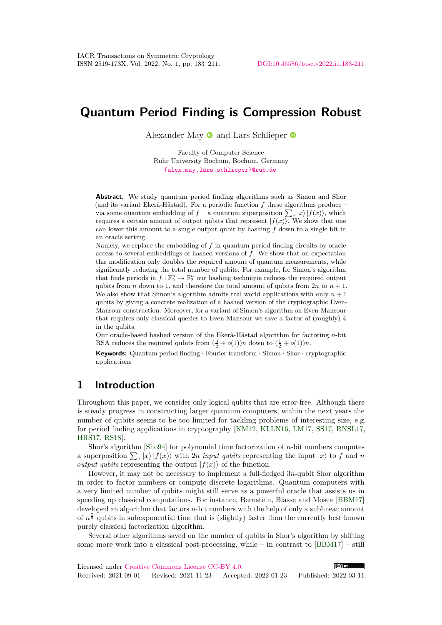# **Quantum Period Finding is Compression Robust**

Alexander May  $\bullet$  and Lars Schlieper  $\bullet$ 

Faculty of Computer Science Ruhr University Bochum, Bochum, Germany [{alex.may,lars.schlieper}@rub.de](mailto:{alex.may,lars.schlieper}@rub.de)

**Abstract.** We study quantum period finding algorithms such as Simon and Shor (and its variant Ekerå-Håstad). For a periodic function *f* these algorithms produce – via some quantum embedding of  $f$  – a quantum superposition  $\sum_{x} |x\rangle |f(x)\rangle$ , which requires a certain amount of output qubits that represent  $|f(x)\rangle$ . We show that one can lower this amount to a single output qubit by hashing *f* down to a single bit in an oracle setting.

Namely, we replace the embedding of *f* in quantum period finding circuits by oracle access to several embeddings of hashed versions of *f*. We show that on expectation this modification only doubles the required amount of quantum measurements, while significantly reducing the total number of qubits. For example, for Simon's algorithm that finds periods in  $f: \mathbb{F}_2^n \to \mathbb{F}_2^n$  our hashing technique reduces the required output qubits from *n* down to 1, and therefore the total amount of qubits from  $2n$  to  $n + 1$ . We also show that Simon's algorithm admits real world applications with only  $n + 1$ qubits by giving a concrete realization of a hashed version of the cryptographic Even-Mansour construction. Moreover, for a variant of Simon's algorithm on Even-Mansour that requires only classical queries to Even-Mansour we save a factor of (roughly) 4 in the qubits.

Our oracle-based hashed version of the Ekerå-Håstad algorithm for factoring *n*-bit RSA reduces the required qubits from  $(\frac{3}{2} + o(1))n$  down to  $(\frac{1}{2} + o(1))n$ .

**Keywords:** Quantum period finding · Fourier transform · Simon · Shor · cryptographic applications

# **1 Introduction**

Throughout this paper, we consider only logical qubits that are error-free. Although there is steady progress in constructing larger quantum computers, within the next years the number of qubits seems to be too limited for tackling problems of interesting size, e.g. for period finding applications in cryptography [\[KM12,](#page-27-0) [KLLN16,](#page-27-1) [LM17,](#page-27-2) [SS17,](#page-28-0) [RNSL17,](#page-27-3) [HRS17,](#page-26-0) [RS18\]](#page-27-4).

Shor's algorithm [\[Sho94\]](#page-27-5) for polynomial time factorization of *n*-bit numbers computes a superposition  $\sum_{x} |x\rangle |f(x)\rangle$  with 2*n input qubits* representing the input  $|x\rangle$  to *f* and *n output qubits* representing the output  $|f(x)\rangle$  of the function.

However, it may not be necessary to implement a full-fledged 3*n*-qubit Shor algorithm in order to factor numbers or compute discrete logarithms. Quantum computers with a very limited number of qubits might still serve as a powerful oracle that assists us in speeding up classical computations. For instance, Bernstein, Biasse and Mosca [\[BBM17\]](#page-26-1) developed an algorithm that factors *n*-bit numbers with the help of only a sublinear amount of  $n^{\frac{2}{3}}$  qubits in subexponential time that is (slightly) faster than the currently best known purely classical factorization algorithm.

Several other algorithms saved on the number of qubits in Shor's algorithm by shifting some more work into a classical post-processing, while – in contrast to [\[BBM17\]](#page-26-1) – still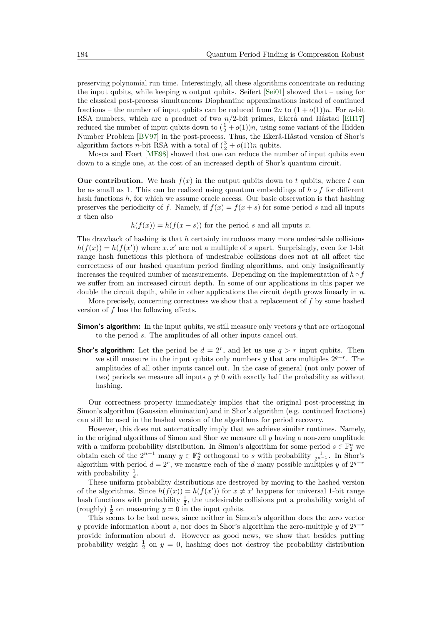preserving polynomial run time. Interestingly, all these algorithms concentrate on reducing the input qubits, while keeping *n* output qubits. Seifert [\[Sei01\]](#page-27-6) showed that – using for the classical post-process simultaneous Diophantine approximations instead of continued fractions – the number of input qubits can be reduced from  $2n$  to  $(1 + o(1))n$ . For *n*-bit RSA numbers, which are a product of two *n/*2-bit primes, Ekerå and Håstad [\[EH17\]](#page-26-2) reduced the number of input qubits down to  $(\frac{1}{2} + o(1))n$ , using some variant of the Hidden Number Problem [\[BV97\]](#page-26-3) in the post-process. Thus, the Ekerå-Håstad version of Shor's algorithm factors *n*-bit RSA with a total of  $(\frac{3}{2} + o(1))n$  qubits.

Mosca and Ekert [\[ME98\]](#page-27-7) showed that one can reduce the number of input qubits even down to a single one, at the cost of an increased depth of Shor's quantum circuit.

**Our contribution.** We hash  $f(x)$  in the output qubits down to  $t$  qubits, where  $t$  can be as small as 1. This can be realized using quantum embeddings of *h* ◦ *f* for different hash functions *h*, for which we assume oracle access. Our basic observation is that hashing preserves the periodicity of *f*. Namely, if  $f(x) = f(x + s)$  for some period *s* and all inputs *x* then also

 $h(f(x)) = h(f(x + s))$  for the period *s* and all inputs *x*.

The drawback of hashing is that *h* certainly introduces many more undesirable collisions  $h(f(x)) = h(f(x'))$  where *x*, *x*<sup>*l*</sup> are not a multiple of *s* apart. Surprisingly, even for 1-bit range hash functions this plethora of undesirable collisions does not at all affect the correctness of our hashed quantum period finding algorithms, and only insignificantly increases the required number of measurements. Depending on the implementation of  $h \circ f$ we suffer from an increased circuit depth. In some of our applications in this paper we double the circuit depth, while in other applications the circuit depth grows linearly in *n*.

More precisely, concerning correctness we show that a replacement of *f* by some hashed version of *f* has the following effects.

- **Simon's algorithm:** In the input qubits, we still measure only vectors *y* that are orthogonal to the period *s*. The amplitudes of all other inputs cancel out.
- **Shor's algorithm:** Let the period be  $d = 2^r$ , and let us use  $q > r$  input qubits. Then we still measure in the input qubits only numbers  $y$  that are multiples  $2^{q-r}$ . The amplitudes of all other inputs cancel out. In the case of general (not only power of two) periods we measure all inputs  $y \neq 0$  with exactly half the probability as without hashing.

Our correctness property immediately implies that the original post-processing in Simon's algorithm (Gaussian elimination) and in Shor's algorithm (e.g. continued fractions) can still be used in the hashed version of the algorithms for period recovery.

However, this does not automatically imply that we achieve similar runtimes. Namely, in the original algorithms of Simon and Shor we measure all *y* having a non-zero amplitude with a uniform probability distribution. In Simon's algorithm for some period  $s \in \mathbb{F}_2^n$  we obtain each of the  $2^{n-1}$  many  $y \in \mathbb{F}_2^n$  orthogonal to *s* with probability  $\frac{1}{2^{n-1}}$ . In Shor's algorithm with period  $d = 2^r$ , we measure each of the *d* many possible multiples *y* of  $2^{q-r}$ with probability  $\frac{1}{d}$ .

These uniform probability distributions are destroyed by moving to the hashed version of the algorithms. Since  $h(f(x)) = h(f(x'))$  for  $x \neq x'$  happens for universal 1-bit range hash functions with probability  $\frac{1}{2}$ , the undesirable collisions put a probability weight of (roughly)  $\frac{1}{2}$  on measuring  $y = 0$  in the input qubits.

This seems to be bad news, since neither in Simon's algorithm does the zero vector *y* provide information about *s*, nor does in Shor's algorithm the zero-multiple *y* of  $2^{q-r}$ provide information about *d*. However as good news, we show that besides putting probability weight  $\frac{1}{2}$  on  $y = 0$ , hashing does not destroy the probability distribution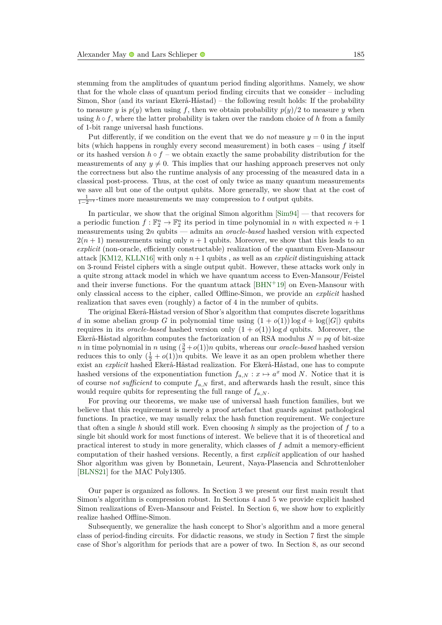stemming from the amplitudes of quantum period finding algorithms. Namely, we show that for the whole class of quantum period finding circuits that we consider – including Simon, Shor (and its variant Ekerå-Håstad) – the following result holds: If the probability to measure *y* is  $p(y)$  when using *f*, then we obtain probability  $p(y)/2$  to measure *y* when using  $h \circ f$ , where the latter probability is taken over the random choice of  $h$  from a family of 1-bit range universal hash functions.

Put differently, if we condition on the event that we do *not* measure  $y = 0$  in the input bits (which happens in roughly every second measurement) in both cases – using *f* itself or its hashed version  $h \circ f$  – we obtain exactly the same probability distribution for the measurements of any  $y \neq 0$ . This implies that our hashing approach preserves not only the correctness but also the runtime analysis of any processing of the measured data in a classical post-process. Thus, at the cost of only twice as many quantum measurements we save all but one of the output qubits. More generally, we show that at the cost of  $\frac{1}{1-2-t}$ -times more measurements we may compression to *t* output qubits.

In particular, we show that the original Simon algorithm [\[Sim94\]](#page-28-1) — that recovers for a periodic function  $f: \mathbb{F}_2^n \to \mathbb{F}_2^n$  its period in time polynomial in *n* with expected  $n+1$ measurements using 2*n* qubits — admits an *oracle-based* hashed version with expected  $2(n+1)$  measurements using only  $n+1$  qubits. Moreover, we show that this leads to an *explicit* (non-oracle, efficiently constructable) realization of the quantum Even-Mansour attack [\[KM12,](#page-27-0) [KLLN16\]](#page-27-1) with only  $n+1$  qubits, as well as an *explicit* distinguishing attack on 3-round Feistel ciphers with a single output qubit. However, these attacks work only in a quite strong attack model in which we have quantum access to Even-Mansour/Feistel and their inverse functions. For the quantum attack  $[BHN<sup>+</sup>19]$  $[BHN<sup>+</sup>19]$  on Even-Mansour with only classical access to the cipher, called Offline-Simon, we provide an *explicit* hashed realization that saves even (roughly) a factor of 4 in the number of qubits.

The original Ekerå-Håstad version of Shor's algorithm that computes discrete logarithms *d* in some abelian group *G* in polynomial time using  $(1 + o(1))\log d + \log(|G|)$  qubits requires in its *oracle-based* hashed version only  $(1 + o(1)) \log d$  qubits. Moreover, the Ekerå-Håstad algorithm computes the factorization of an RSA modulus  $N = pq$  of bit-size *n* in time polynomial in *n* using  $(\frac{3}{2} + o(1))n$  qubits, whereas our *oracle-based* hashed version reduces this to only  $(\frac{1}{2} + o(1))n$  qubits. We leave it as an open problem whether there exist an *explicit* hashed Ekerå-Håstad realization. For Ekerå-Håstad, one has to compute hashed versions of the exponentiation function  $f_{a,N}: x \mapsto a^x \mod N$ . Notice that it is of course *not sufficient* to compute  $f_{a,N}$  first, and afterwards hash the result, since this would require qubits for representing the full range of  $f_{a,N}$ .

For proving our theorems, we make use of universal hash function families, but we believe that this requirement is merely a proof artefact that guards against pathological functions. In practice, we may usually relax the hash function requirement. We conjecture that often a single *h* should still work. Even choosing *h* simply as the projection of *f* to a single bit should work for most functions of interest. We believe that it is of theoretical and practical interest to study in more generality, which classes of *f* admit a memory-efficient computation of their hashed versions. Recently, a first *explicit* application of our hashed Shor algorithm was given by Bonnetain, Leurent, Naya-Plasencia and Schrottenloher [\[BLNS21\]](#page-26-5) for the MAC Poly1305.

Our paper is organized as follows. In Section [3](#page-3-0) we present our first main result that Simon's algorithm is compression robust. In Sections [4](#page-8-0) and [5](#page-10-0) we provide explicit hashed Simon realizations of Even-Mansour and Feistel. In Section [6,](#page-12-0) we show how to explicitly realize hashed Offline-Simon.

Subsequently, we generalize the hash concept to Shor's algorithm and a more general class of period-finding circuits. For didactic reasons, we study in Section [7](#page-16-0) first the simple case of Shor's algorithm for periods that are a power of two. In Section [8,](#page-20-0) as our second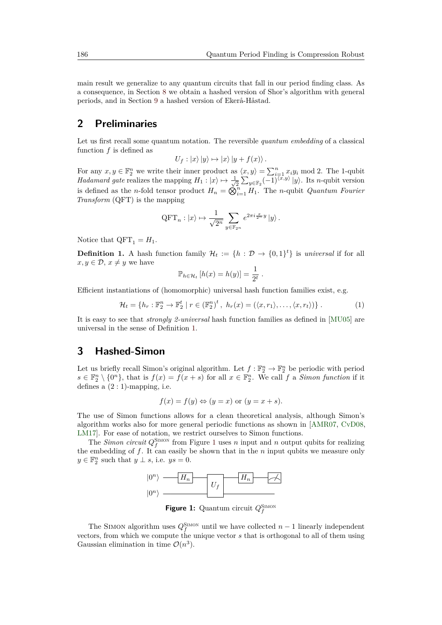main result we generalize to any quantum circuits that fall in our period finding class. As a consequence, in Section [8](#page-20-0) we obtain a hashed version of Shor's algorithm with general periods, and in Section [9](#page-23-0) a hashed version of Ekerå-Håstad.

# **2 Preliminaries**

Let us first recall some quantum notation. The reversible *quantum embedding* of a classical function *f* is defined as

$$
U_f: |x\rangle |y\rangle \mapsto |x\rangle |y + f(x)\rangle.
$$

For any  $x, y \in \mathbb{F}_2^n$  we write their inner product as  $\langle x, y \rangle = \sum_{i=1}^n x_i y_i \text{ mod } 2$ . The 1-qubit *Hadamard gate* realizes the mapping  $H_1 : |x\rangle \mapsto \frac{1}{\sqrt{2}}$  $\frac{1}{2}$   $\sum_{y \in \mathbb{F}_2} (-1)^{\langle x, y \rangle} |y\rangle$ . Its *n*-qubit version is defined as the *n*-fold tensor product  $H_n = \mathbb{Q}_{i=1}^n H_1$ . The *n*-qubit *Quantum Fourier Transform* (QFT) is the mapping

$$
\text{QFT}_n : |x\rangle \mapsto \frac{1}{\sqrt{2^n}} \sum_{y \in \mathbb{F}_{2^n}} e^{2\pi i \frac{x}{2^n} y} |y\rangle.
$$

Notice that  $QFT_1 = H_1$ .

<span id="page-3-1"></span>**Definition 1.** A hash function family  $\mathcal{H}_t := \{h : \mathcal{D} \to \{0,1\}^t\}$  is *universal* if for all  $x, y \in \mathcal{D}, x \neq y$  we have

$$
\mathbb{P}_{h \in \mathcal{H}_t} [h(x) = h(y)] = \frac{1}{2^t}
$$

Efficient instantiations of (homomorphic) universal hash function families exist, e.g.

<span id="page-3-3"></span>
$$
\mathcal{H}_t = \{ h_r : \mathbb{F}_2^n \to \mathbb{F}_2^t \mid r \in (\mathbb{F}_2^n)^t, \ h_r(x) = (\langle x, r_1 \rangle, \dots, \langle x, r_t \rangle) \}.
$$
 (1)

*.*

It is easy to see that *strongly 2-universal* hash function families as defined in [\[MU05\]](#page-27-8) are universal in the sense of Definition [1.](#page-3-1)

# <span id="page-3-0"></span>**3 Hashed-Simon**

Let us briefly recall Simon's original algorithm. Let  $f : \mathbb{F}_2^n \to \mathbb{F}_2^n$  be periodic with period  $s \in \mathbb{F}_2^n \setminus \{0^n\}$ , that is  $f(x) = f(x+s)$  for all  $x \in \mathbb{F}_2^n$ . We call *f* a *Simon function* if it defines a  $(2:1)$ -mapping, i.e.

$$
f(x) = f(y) \Leftrightarrow (y = x) \text{ or } (y = x + s).
$$

The use of Simon functions allows for a clean theoretical analysis, although Simon's algorithm works also for more general periodic functions as shown in [\[AMR07,](#page-25-0) [CvD08,](#page-26-6) [LM17\]](#page-27-2). For ease of notation, we restrict ourselves to Simon functions.

<span id="page-3-2"></span>The *Simon circuit*  $Q_f^{\text{SIMON}}$  from Figure [1](#page-3-2) uses *n* input and *n* output qubits for realizing the embedding of *f*. It can easily be shown that in the *n* input qubits we measure only  $y \in \mathbb{F}_2^n$  such that  $y \perp s$ , i.e.  $ys = 0$ .



**Figure 1:** Quantum circuit  $Q_f^{\text{SIMON}}$ 

The SIMON algorithm uses  $Q_f^{\text{SIMON}}$  until we have collected  $n-1$  linearly independent vectors, from which we compute the unique vector *s* that is orthogonal to all of them using Gaussian elimination in time  $\mathcal{O}(n^3)$ .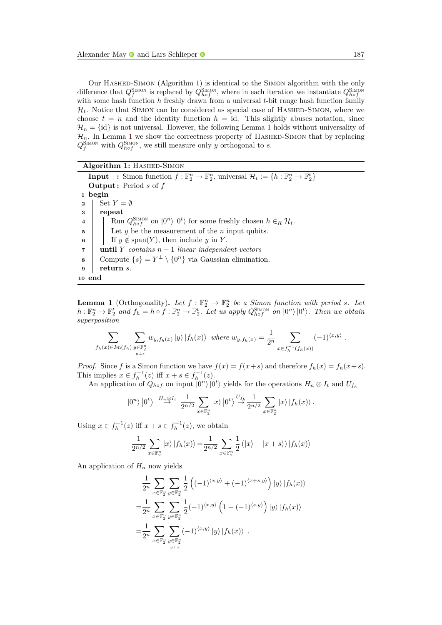Our HASHED-SIMON (Algorithm [1\)](#page-4-0) is identical to the SIMON algorithm with the only difference that  $Q_f^{\text{SIMON}}$  is replaced by  $Q_{hof}^{\text{SIMON}}$ , where in each iteration we instantiate  $Q_{hof}^{\text{SIMON}}$ with some hash function *h* freshly drawn from a universal *t*-bit range hash function family  $\mathcal{H}_t$ . Notice that SIMON can be considered as special case of HASHED-SIMON, where we choose  $t = n$  and the identity function  $h = id$ . This slightly abuses notation, since  $\mathcal{H}_n = \{\text{id}\}\$ is not universal. However, the following Lemma [1](#page-4-1) holds without universality of  $\mathcal{H}_n$ . In Lemma [1](#page-4-1) we show the correctness property of HASHED-SIMON that by replacing  $Q_f^{\text{SIMON}}$  with  $Q_{hof}^{\text{SIMON}}$ , we still measure only *y* orthogonal to *s*.

#### **Algorithm 1: HASHED-SIMON**

**Input** : Simon function  $f : \mathbb{F}_2^n \to \mathbb{F}_2^n$ , universal  $\mathcal{H}_t := \{h : \mathbb{F}_2^n \to \mathbb{F}_2^t\}$ **Output :** Period *s* of *f* **1 begin 2** Set  $Y = \emptyset$ . **3 repeat 4**  $\left| \int_{h}^{\infty} \text{Run } Q_{h \circ f}^{\text{SIMON}} \text{ on } |0^n \rangle |0^t \rangle \text{ for some freshly chosen } h \in_R \mathcal{H}_t.$ **5** CHC Let *y* be the measurement of the *n* input qubits. **6** If  $y \notin \text{span}(Y)$ , then include *y* in *Y*. **<sup>7</sup> until** *Y contains n* − 1 *linear independent vectors* **8** Compute  $\{s\} = Y^{\perp} \setminus \{0^n\}$  via Gaussian elimination. **<sup>9</sup> return** *s.* **<sup>10</sup> end**

<span id="page-4-1"></span><span id="page-4-0"></span>**Lemma 1** (Orthogonality). Let  $f : \mathbb{F}_2^n \to \mathbb{F}_2^n$  be a Simon function with period *s.* Let  $h:\mathbb{F}_2^n\to\mathbb{F}_2^t$  and  $f_h=h\circ f:\mathbb{F}_2^n\to\mathbb{F}_2^t$ . Let us apply  $Q_{h\circ f}^{\text{SIMON}}$  on  $|0^n\rangle|0^t\rangle$ . Then we obtain *superposition*

$$
\sum_{f_h(x)\in Im(f_h)} \sum_{\substack{y\in \mathbb{F}_2^n \ y\perp s}} w_{y,f_h(x)} |y\rangle |f_h(x)\rangle \text{ where } w_{y,f_h(x)} = \frac{1}{2^n} \sum_{x\in f_h^{-1}(f_h(x))} (-1)^{\langle x,y\rangle}.
$$

*Proof.* Since *f* is a Simon function we have  $f(x) = f(x+s)$  and therefore  $f_h(x) = f_h(x+s)$ . This implies  $x \in f_h^{-1}(z)$  iff  $x + s \in f_h^{-1}(z)$ .

An application of  $Q_{h \circ f}$  on input  $|0^n\rangle |0^t\rangle$  yields for the operations  $H_n \otimes I_t$  and  $U_{f_h}$ 

$$
|0^n\rangle|0^t\rangle \stackrel{H_n\otimes I_t}{\rightarrow} \frac{1}{2^{n/2}} \sum_{x\in \mathbb{F}_2^n} |x\rangle|0^t\rangle \stackrel{U_{f_h}}{\rightarrow} \frac{1}{2^{n/2}} \sum_{x\in \mathbb{F}_2^n} |x\rangle|f_h(x)\rangle.
$$

Using  $x \in f_h^{-1}(z)$  iff  $x + s \in f_h^{-1}(z)$ , we obtain

$$
\frac{1}{2^{n/2}} \sum_{x \in \mathbb{F}_2^n} |x\rangle |f_h(x)\rangle = \frac{1}{2^{n/2}} \sum_{x \in \mathbb{F}_2^n} \frac{1}{2} (|x\rangle + |x + s\rangle) |f_h(x)\rangle
$$

An application of  $H_n$  now yields

$$
\frac{1}{2^n} \sum_{x \in \mathbb{F}_2^n} \sum_{y \in \mathbb{F}_2^n} \frac{1}{2} \left( (-1)^{\langle x, y \rangle} + (-1)^{\langle x+s, y \rangle} \right) |y\rangle |f_h(x)\rangle
$$
  
\n
$$
= \frac{1}{2^n} \sum_{x \in \mathbb{F}_2^n} \sum_{y \in \mathbb{F}_2^n} \frac{1}{2} (-1)^{\langle x, y \rangle} \left( 1 + (-1)^{\langle s, y \rangle} \right) |y\rangle |f_h(x)\rangle
$$
  
\n
$$
= \frac{1}{2^n} \sum_{x \in \mathbb{F}_2^n} \sum_{y \in \mathbb{F}_2^n} (-1)^{\langle x, y \rangle} |y\rangle |f_h(x)\rangle .
$$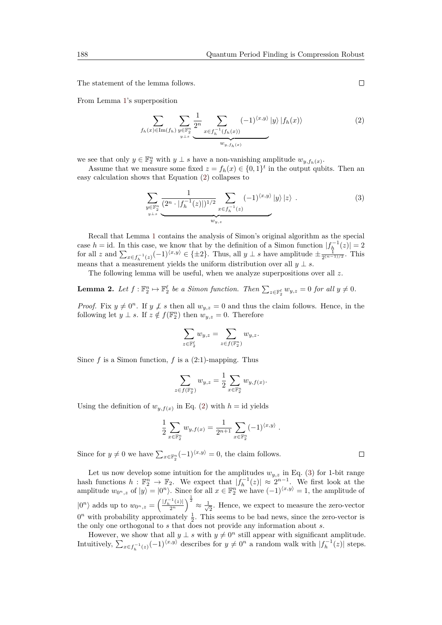The statement of the lemma follows.

From Lemma [1'](#page-4-1)s superposition

<span id="page-5-0"></span>
$$
\sum_{f_h(x) \in \text{Im}(f_h)} \sum_{\substack{y \in \mathbb{F}_2^n \\ y \perp s}} \frac{1}{2^n} \sum_{x \in f_h^{-1}(f_h(x))} (-1)^{\langle x, y \rangle} |y\rangle |f_h(x)\rangle \tag{2}
$$

we see that only  $y \in \mathbb{F}_2^n$  with  $y \perp s$  have a non-vanishing amplitude  $w_{y,f_h(x)}$ .

Assume that we measure some fixed  $z = f_h(x) \in \{0,1\}^t$  in the output qubits. Then an easy calculation shows that Equation [\(2\)](#page-5-0) collapses to

<span id="page-5-1"></span>
$$
\sum_{\substack{y \in \mathbb{F}_2^n \\ y \perp s}} \frac{1}{(2^n \cdot |f_h^{-1}(z)|)^{1/2}} \sum_{\substack{x \in f_h^{-1}(z) \\ w_{y,z}}} (-1)^{\langle x, y \rangle} |y\rangle |z\rangle . \tag{3}
$$

Recall that Lemma [1](#page-4-1) contains the analysis of Simon's original algorithm as the special case *h* = id. In this case, we know that by the definition of a Simon function  $|f_h^{-1}(z)| = 2$ for all  $z$  and  $\sum_{x \in f_h^{-1}(z)} (-1)^{\langle x, y \rangle} \in \{\pm 2\}$ . Thus, all  $y \perp s$  have amplitude  $\pm \frac{1}{2^{(n-1)/2}}$ . This means that a measurement yields the uniform distribution over all  $y \perp s$ .

The following lemma will be useful, when we analyze superpositions over all *z*.

<span id="page-5-2"></span>**Lemma 2.** Let  $f: \mathbb{F}_2^n \to \mathbb{F}_2^{\ell}$  be a Simon function. Then  $\sum_{z \in \mathbb{F}_2^{\ell}} w_{y,z} = 0$  for all  $y \neq 0$ .

*Proof.* Fix  $y \neq 0^n$ . If  $y \neq s$  then all  $w_{y,z} = 0$  and thus the claim follows. Hence, in the following let  $y \perp s$ . If  $z \notin f(\mathbb{F}_2^n)$  then  $w_{y,z} = 0$ . Therefore

$$
\sum_{z\in\mathbb{F}_2^\ell}w_{y,z}=\sum_{z\in f(\mathbb{F}_2^n)}w_{y,z}.
$$

Since  $f$  is a Simon function,  $f$  is a  $(2:1)$ -mapping. Thus

$$
\sum_{z \in f(\mathbb{F}_2^n)} w_{y,z} = \frac{1}{2} \sum_{x \in \mathbb{F}_2^n} w_{y,f(x)}.
$$

Using the definition of  $w_{y,f(x)}$  in Eq. [\(2\)](#page-5-0) with  $h = id$  yields

$$
\frac{1}{2} \sum_{x \in \mathbb{F}_2^n} w_{y,f(x)} = \frac{1}{2^{n+1}} \sum_{x \in \mathbb{F}_2^n} (-1)^{\langle x,y \rangle} .
$$

Since for  $y \neq 0$  we have  $\sum_{x \in \mathbb{F}_2^n} (-1)^{\langle x, y \rangle} = 0$ , the claim follows.

Let us now develop some intuition for the amplitudes  $w_{y,z}$  in Eq. [\(3\)](#page-5-1) for 1-bit range hash functions  $h: \mathbb{F}_2^n \to \mathbb{F}_2$ . We expect that  $|f_h^{-1}(z)| \approx 2^{n-1}$ . We first look at the amplitude  $w_{0^n,z}$  of  $|y\rangle = |0^n\rangle$ . Since for all  $x \in \mathbb{F}_2^n$  we have  $(-1)^{\langle x,y\rangle} = 1$ , the amplitude of  $|0^n\rangle$  adds up to  $w_{0^n,z} = \left(\frac{|f_h^{-1}(z)|}{2^n}\right)$  $\left(\frac{1}{2^n}\right)^{\frac{1}{2}} \approx \frac{1}{\sqrt{2^n}}$  $\frac{1}{2}$ . Hence, we expect to measure the zero-vector  $0<sup>n</sup>$  with probability approximately  $\frac{1}{2}$ . This seems to be bad news, since the zero-vector is the only one orthogonal to *s* that does not provide any information about *s*.

However, we show that all  $y \perp s$  with  $y \neq 0^n$  still appear with significant amplitude. Intuitively,  $\sum_{x \in f_h^{-1}(z)} (-1)^{\langle x, y \rangle}$  describes for  $y \neq 0^n$  a random walk with  $|f_h^{-1}(z)|$  steps.

 $\Box$ 

 $\Box$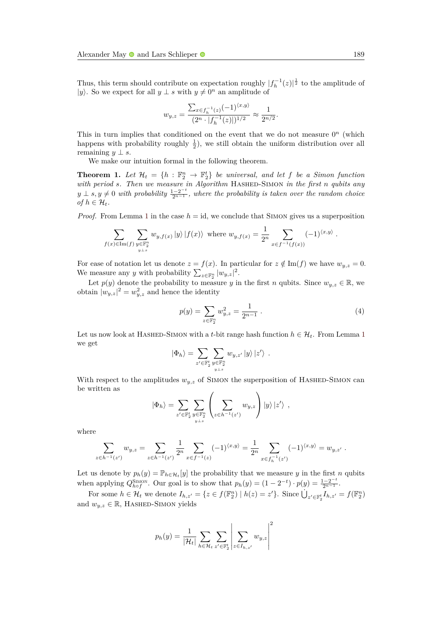Thus, this term should contribute on expectation roughly  $|f_h^{-1}(z)|^{\frac{1}{2}}$  to the amplitude of |*y*). So we expect for all  $y \perp s$  with  $y \neq 0^n$  an amplitude of

$$
w_{y,z} = \frac{\sum_{x \in f_h^{-1}(z)} (-1)^{\langle x, y \rangle}}{(2^n \cdot |f_h^{-1}(z)|)^{1/2}} \approx \frac{1}{2^{n/2}}.
$$

This in turn implies that conditioned on the event that we do not measure  $0<sup>n</sup>$  (which happens with probability roughly  $\frac{1}{2}$ , we still obtain the uniform distribution over all remaining  $y \perp s$ .

We make our intuition formal in the following theorem.

<span id="page-6-1"></span>**Theorem 1.** Let  $\mathcal{H}_t = \{h : \mathbb{F}_2^n \to \mathbb{F}_2^t\}$  be universal, and let f be a Simon function *with period s. Then we measure in Algorithm* HASHED-SIMON *in the first n qubits any*  $y \perp s, y \neq 0$  *with probability*  $\frac{1-2^{-t}}{2^{n-1}}$ , where the probability is taken over the random choice *of*  $h \in \mathcal{H}_t$ *.* 

*Proof.* From Lemma [1](#page-4-1) in the case  $h = id$ , we conclude that SIMON gives us a superposition

$$
\sum_{f(x)\in \text{Im}(f)} \sum_{\substack{y\in \mathbb{F}_2^n \\ y \perp s}} w_{y,f(x)} |y\rangle |f(x)\rangle \text{ where } w_{y,f(x)} = \frac{1}{2^n} \sum_{x\in f^{-1}(f(x))} (-1)^{\langle x,y\rangle}.
$$

For ease of notation let us denote  $z = f(x)$ . In particular for  $z \notin \text{Im}(f)$  we have  $w_{y,z} = 0$ . We measure any *y* with probability  $\sum_{z \in \mathbb{F}_2^n} |w_{y,z}|^2$ .

Let  $p(y)$  denote the probability to measure *y* in the first *n* qubits. Since  $w_{y,z} \in \mathbb{R}$ , we obtain  $|w_{y,z}|^2 = w_{y,z}^2$  and hence the identity

<span id="page-6-0"></span>
$$
p(y) = \sum_{z \in \mathbb{F}_2^n} w_{y,z}^2 = \frac{1}{2^{n-1}} \tag{4}
$$

Let us now look at HASHED-SIMON with a *t*-bit range hash function  $h \in \mathcal{H}_t$ . From Lemma [1](#page-4-1) we get

$$
\left|\Phi_h\right\rangle = \sum_{z'\in\mathbb{F}_2^t}\sum_{\substack{y\in\mathbb{F}_2^n\\ y\perp s}} w_{y,z'}\left|y\right\rangle\left|z'\right\rangle\;.
$$

With respect to the amplitudes  $w_{y,z}$  of Simon the superposition of HASHED-SIMON can be written as

$$
|\Phi_h\rangle = \sum_{z' \in \mathbb{F}_2^t} \sum_{y \in \mathbb{F}_2^n} \left( \sum_{z \in h^{-1}(z')} w_{y,z} \right) |y\rangle |z'\rangle ,
$$

where

$$
\sum_{z \in h^{-1}(z')} w_{y,z} = \sum_{z \in h^{-1}(z')} \frac{1}{2^n} \sum_{x \in f^{-1}(z)} (-1)^{\langle x,y \rangle} = \frac{1}{2^n} \sum_{x \in f_h^{-1}(z')} (-1)^{\langle x,y \rangle} = w_{y,z'}.
$$

Let us denote by  $p_h(y) = \mathbb{P}_{h \in \mathcal{H}_t}[y]$  the probability that we measure *y* in the first *n* qubits when applying  $Q_{h\circ f}^{\text{SIMON}}$ . Our goal is to show that  $p_h(y) = (1 - 2^{-t}) \cdot p(y) = \frac{1 - 2^{-t}}{2^{n-1}}$ .

For some  $h \in \mathcal{H}_t$  we denote  $I_{h,z'} = \{z \in f(\mathbb{F}_2^n) \mid h(z) = z'\}$ . Since  $\dot{\bigcup}_{z' \in \mathbb{F}_2^t} I_{h,z'} = f(\mathbb{F}_2^n)$ and  $w_{y,z} \in \mathbb{R}$ , HASHED-SIMON yields

$$
p_h(y) = \frac{1}{|\mathcal{H}_t|} \sum_{h \in \mathcal{H}_t} \sum_{z' \in \mathbb{F}_2^t} \left| \sum_{z \in I_{h,z'}} w_{y,z} \right|^2
$$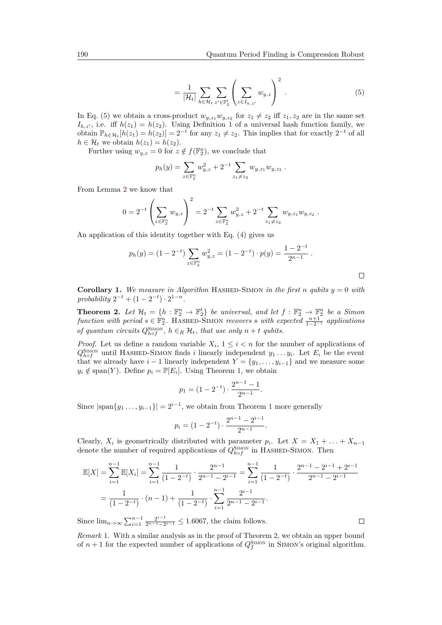<span id="page-7-0"></span>
$$
= \frac{1}{|\mathcal{H}_t|} \sum_{h \in \mathcal{H}_t} \sum_{z' \in \mathbb{F}_2^t} \left( \sum_{z \in I_{h,z'}} w_{y,z} \right)^2.
$$
 (5)

In Eq. [\(5\)](#page-7-0) we obtain a cross-product  $w_{y,z_1}w_{y,z_2}$  for  $z_1 \neq z_2$  iff  $z_1, z_2$  are in the same set  $I_{h,z'}$ , i.e. iff  $h(z_1) = h(z_2)$  $h(z_1) = h(z_2)$  $h(z_1) = h(z_2)$ . Using Definition 1 of a universal hash function family, we obtain  $\mathbb{P}_{h \in \mathcal{H}_t}[h(z_1) = h(z_2)] = 2^{-t}$  for any  $z_1 \neq z_2$ . This implies that for exactly  $2^{-t}$  of all  $h \in \mathcal{H}_t$  we obtain  $h(z_1) = h(z_2)$ .

Further using  $w_{y,z} = 0$  for  $z \notin f(\mathbb{F}_2^n)$ , we conclude that

$$
p_h(y) = \sum_{z \in \mathbb{F}_2^n} w_{y,z}^2 + 2^{-t} \sum_{z_1 \neq z_2} w_{y,z_1} w_{y,z_2}.
$$

From Lemma [2](#page-5-2) we know that

$$
0 = 2^{-t} \left( \sum_{z \in \mathbb{F}_2^n} w_{y,z} \right)^2 = 2^{-t} \sum_{z \in \mathbb{F}_2^n} w_{y,z}^2 + 2^{-t} \sum_{z_1 \neq z_2} w_{y,z_1} w_{y,z_2}.
$$

An application of this identity together with Eq. [\(4\)](#page-6-0) gives us

$$
p_h(y) = (1 - 2^{-t}) \sum_{z \in \mathbb{F}_2^n} w_{y,z}^2 = (1 - 2^{-t}) \cdot p(y) = \frac{1 - 2^{-t}}{2^{n-1}}.
$$

**Corollary 1.** We measure in Algorithm HASHED-SIMON in the first *n qubits*  $y = 0$  *with*  $\text{probability } 2^{-t} + (1 - 2^{-t}) \cdot 2^{1-n}.$ 

<span id="page-7-1"></span>**Theorem 2.** Let  $\mathcal{H}_t = \{h : \mathbb{F}_2^n \to \mathbb{F}_2^t\}$  be universal, and let  $f : \mathbb{F}_2^n \to \mathbb{F}_2^n$  be a Simon  $function \ with \ period \ s \in \mathbb{F}_2^n$ . HASHED-SIMON *recovers s* with expected  $\frac{n+1}{1-2^{-t}}$  applications *of quantum circuits*  $Q_{hof}^{\text{SIMON}}$ ,  $h \in_R \mathcal{H}_t$ , that use only  $n + t$  qubits.

*Proof.* Let us define a random variable  $X_i$ ,  $1 \leq i \leq n$  for the number of applications of  $Q_{hof}^{\text{SIMON}}$  until HASHED-SIMON finds *i* linearly independent  $y_1 \ldots y_i$ . Let  $E_i$  be the event that we already have  $i-1$  linearly independent  $Y = \{y_1, \ldots, y_{i-1}\}\$  and we measure some  $y_i \notin \text{span}(Y)$ . Define  $p_i = \mathbb{P}[E_i]$ . Using Theorem [1,](#page-6-1) we obtain

$$
p_1 = (1 - 2^{-t}) \cdot \frac{2^{n-1} - 1}{2^{n-1}}.
$$

Since  $|\text{span}{y_1 \dots, y_{i-1}}| = 2^{i-1}$  $|\text{span}{y_1 \dots, y_{i-1}}| = 2^{i-1}$  $|\text{span}{y_1 \dots, y_{i-1}}| = 2^{i-1}$ , we obtain from Theorem 1 more generally

$$
p_i = (1 - 2^{-t}) \cdot \frac{2^{n-1} - 2^{i-1}}{2^{n-1}}.
$$

Clearly,  $X_i$  is geometrically distributed with parameter  $p_i$ . Let  $X = X_1 + \ldots + X_{n-1}$ denote the number of required applications of  $Q_{hof}^{\text{SIMON}}$  in HASHED-SIMON. Then

$$
\mathbb{E}[X] = \sum_{i=1}^{n-1} \mathbb{E}[X_i] = \sum_{i=1}^{n-1} \frac{1}{(1-2^{-i})} \cdot \frac{2^{n-1}}{2^{n-1}-2^{i-1}} = \sum_{i=1}^{n-1} \frac{1}{(1-2^{-i})} \cdot \frac{2^{n-1}-2^{i-1}+2^{i-1}}{2^{n-1}-2^{i-1}}
$$

$$
= \frac{1}{(1-2^{-i})} \cdot (n-1) + \frac{1}{(1-2^{-i})} \cdot \sum_{i=1}^{n-1} \frac{2^{i-1}}{2^{n-1}-2^{i-1}}.
$$

Since  $\lim_{n\to\infty}\sum_{i=1}^{n-1}\frac{2^{i-1}}{2^{n-1}-2}$  $\frac{2^{i-1}}{2^{n-1}-2^{i-1}} \leq 1.6067$ , the claim follows.

*Remark* 1*.* With a similar analysis as in the proof of Theorem [2,](#page-7-1) we obtain an upper bound of  $n+1$  for the expected number of applications of  $Q_f^{\text{SMON}}$  in SIMON's original algorithm.

 $\Box$ 

 $\Box$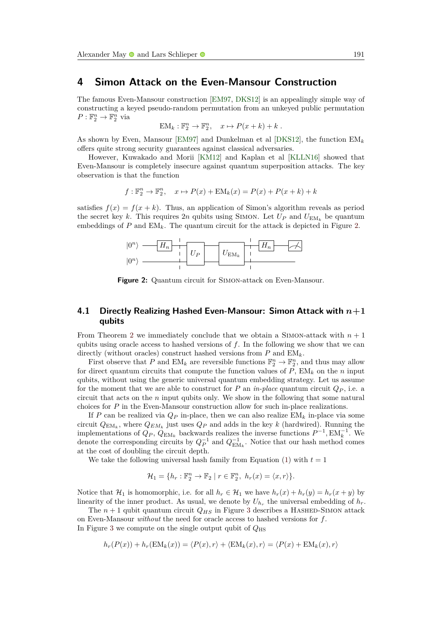### <span id="page-8-0"></span>**4 Simon Attack on the Even-Mansour Construction**

The famous Even-Mansour construction [\[EM97,](#page-26-7) [DKS12\]](#page-26-8) is an appealingly simple way of constructing a keyed pseudo-random permutation from an unkeyed public permutation  $P: \mathbb{F}_2^n \to \mathbb{F}_2^n$  via

$$
EM_k: \mathbb{F}_2^n \to \mathbb{F}_2^n, \quad x \mapsto P(x+k) + k.
$$

As shown by Even, Mansour [\[EM97\]](#page-26-7) and Dunkelman et al [\[DKS12\]](#page-26-8), the function  $EM_k$ offers quite strong security guarantees against classical adversaries.

However, Kuwakado and Morii [\[KM12\]](#page-27-0) and Kaplan et al [\[KLLN16\]](#page-27-1) showed that Even-Mansour is completely insecure against quantum superposition attacks. The key observation is that the function

$$
f: \mathbb{F}_2^n \to \mathbb{F}_2^n, \quad x \mapsto P(x) + \text{EM}_k(x) = P(x) + P(x+k) + k
$$

<span id="page-8-1"></span>satisfies  $f(x) = f(x + k)$ . Thus, an application of Simon's algorithm reveals as period the secret key k. This requires 2*n* qubits using SIMON. Let  $U_P$  and  $U_{EM_k}$  be quantum embeddings of  $P$  and  $\text{EM}_k$ . The quantum circuit for the attack is depicted in Figure [2.](#page-8-1)



Figure 2: Quantum circuit for SIMON-attack on Even-Mansour.

#### **4.1 Directly Realizing Hashed Even-Mansour: Simon Attack with** *n***+1 qubits**

From Theorem [2](#page-7-1) we immediately conclude that we obtain a SIMON-attack with  $n + 1$ qubits using oracle access to hashed versions of *f*. In the following we show that we can directly (without oracles) construct hashed versions from *P* and EM*k*.

First observe that P and  $EM_k$  are reversible functions  $\mathbb{F}_2^n \to \mathbb{F}_2^n$ , and thus may allow for direct quantum circuits that compute the function values of  $P$ ,  $EM_k$  on the *n* input qubits, without using the generic universal quantum embedding strategy. Let us assume for the moment that we are able to construct for *P* an *in-place* quantum circuit  $Q_P$ , i.e. a circuit that acts on the *n* input qubits only. We show in the following that some natural choices for *P* in the Even-Mansour construction allow for such in-place realizations.

If *P* can be realized via  $Q_P$  in-place, then we can also realize  $EM_k$  in-place via some circuit  $Q_{EM_k}$ , where  $Q_{EM_k}$  just uses  $Q_P$  and adds in the key  $k$  (hardwired). Running the implementations of  $Q_P$ ,  $\hat{Q}_{EM_k}$  backwards realizes the inverse functions  $P^{-1}$ ,  $EM_k^{-1}$ . We denote the corresponding circuits by  $Q_P^{-1}$  and  $Q_{\text{EM}_k}^{-1}$ . Notice that our hash method comes at the cost of doubling the circuit depth.

We take the following universal hash family from Equation  $(1)$  with  $t = 1$ 

$$
\mathcal{H}_1 = \{ h_r : \mathbb{F}_2^n \to \mathbb{F}_2 \mid r \in \mathbb{F}_2^n, h_r(x) = \langle x, r \rangle \}.
$$

Notice that  $\mathcal{H}_1$  is homomorphic, i.e. for all  $h_r \in \mathcal{H}_1$  we have  $h_r(x) + h_r(y) = h_r(x + y)$  by linearity of the inner product. As usual, we denote by  $U_{h_r}$  the universal embedding of  $h_r$ .

The  $n+1$  qubit quantum circuit  $Q_{HS}$  in Figure [3](#page-9-0) describes a HASHED-SIMON attack on Even-Mansour *without* the need for oracle access to hashed versions for *f*. In Figure [3](#page-9-0) we compute on the single output qubit of  $Q_{\text{HS}}$ 

$$
h_r(P(x)) + h_r(\text{EM}_k(x)) = \langle P(x), r \rangle + \langle \text{EM}_k(x), r \rangle = \langle P(x) + \text{EM}_k(x), r \rangle
$$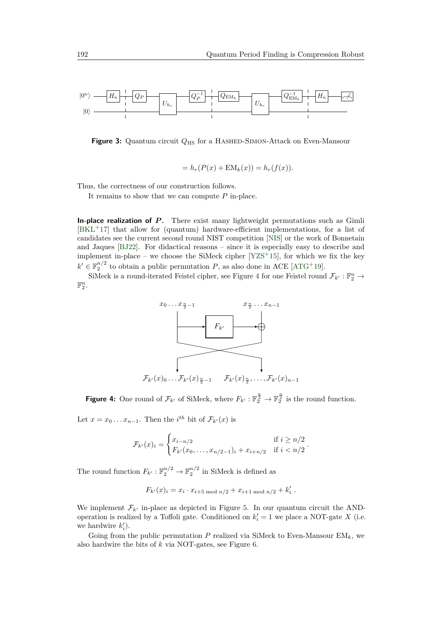<span id="page-9-0"></span>

**Figure 3:** Quantum circuit *Q*HS for a Hashed-Simon-Attack on Even-Mansour

$$
= hr(P(x) + EMk(x)) = hr(f(x)).
$$

Thus, the correctness of our construction follows.

It remains to show that we can compute *P* in-place.

**In-place realization of P.** There exist many lightweight permutations such as Gimli [\[BKL](#page-26-9)<sup>+</sup>17] that allow for (quantum) hardware-efficient implementations, for a list of candidates see the current second round NIST competition [\[NIS\]](#page-27-9) or the work of Bonnetain and Jaques [\[BJ22\]](#page-26-10). For didactical reasons – since it is especially easy to describe and implement in-place – we choose the SiMeck cipher  $[YZS+15]$  $[YZS+15]$ , for which we fix the key  $k' \in \mathbb{F}_2^{n/2}$  to obtain a public permutation *P*, as also done in ACE [\[ATG](#page-25-1)<sup>+</sup>19].

<span id="page-9-1"></span>SiMeck is a round-iterated Feistel cipher, see Figure [4](#page-9-1) for one Feistel round  $\mathcal{F}_{k'} : \mathbb{F}_2^n \to$  $\mathbb{F}_2^n$ .



**Figure 4:** One round of  $\mathcal{F}_{k'}$  of SiMeck, where  $F_{k'} : \mathbb{F}_2^{\frac{n}{2}} \to \mathbb{F}_2^{\frac{n}{2}}$  is the round function.

Let  $x = x_0 \dots x_{n-1}$ . Then the *i*<sup>th</sup> bit of  $\mathcal{F}_{k'}(x)$  is

$$
\mathcal{F}_{k'}(x)_i = \begin{cases} x_{i-n/2} & \text{if } i \geq n/2 \\ F_{k'}(x_0, \dots, x_{n/2-1})_i + x_{i+n/2} & \text{if } i < n/2 \end{cases}.
$$

The round function  $F_{k'} : \mathbb{F}_2^{n/2} \to \mathbb{F}_2^{n/2}$  in SiMeck is defined as

$$
F_{k'}(x)_i = x_i \cdot x_{i+5 \bmod n/2} + x_{i+1 \bmod n/2} + k'_i.
$$

We implement  $\mathcal{F}_{k}$  in-place as depicted in Figure [5.](#page-10-1) In our quantum circuit the ANDoperation is realized by a Toffoli gate. Conditioned on  $k'_i = 1$  we place a NOT-gate *X* (i.e. we hardwire  $k'_{i}$ ).

Going from the public permutation  $P$  realized via SiMeck to Even-Mansour  $EM_k$ , we also hardwire the bits of *k* via NOT-gates, see Figure [6.](#page-10-2)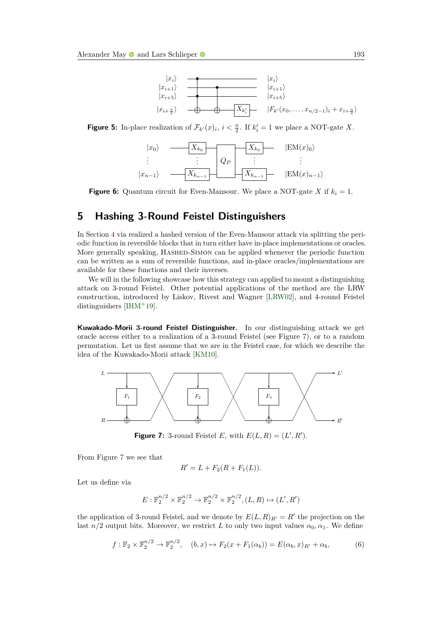

<span id="page-10-2"></span><span id="page-10-1"></span>**Figure 5:** In-place realization of  $\mathcal{F}_{k'}(x)_i$ ,  $i < \frac{n}{2}$ . If  $k'_i = 1$  we place a NOT-gate *X*.



**Figure 6:** Quantum circuit for Even-Mansour. We place a NOT-gate *X* if  $k_i = 1$ .

# <span id="page-10-0"></span>**5 Hashing 3-Round Feistel Distinguishers**

In Section [4](#page-8-0) via realized a hashed version of the Even-Mansour attack via splitting the periodic function in reversible blocks that in turn either have in-place implementations or oracles. More generally speaking, HASHED-SIMON can be applied whenever the periodic function can be written as a sum of reversible functions, and in-place oracles/implementations are available for these functions and their inverses.

We will in the following showcase how this strategy can applied to mount a distinguishing attack on 3-round Feistel. Other potential applications of the method are the LRW construction, introduced by Liskov, Rivest and Wagner [\[LRW02\]](#page-27-10), and 4-round Feistel distinguishers  $[HHM+19]$ .

**Kuwakado-Morii 3-round Feistel Distinguisher.** In our distinguishing attack we get oracle access either to a realization of a 3-round Feistel (see Figure [7\)](#page-10-3), or to a random permutation. Let us first assume that we are in the Feistel case, for which we describe the idea of the Kuwakado-Morii attack [\[KM10\]](#page-27-12).

<span id="page-10-3"></span>

**Figure 7:** 3-round Feistel *E*, with  $E(L, R) = (L', R')$ .

From Figure [7](#page-10-3) we see that

$$
R'=L+F_2(R+F_1(L)).
$$

Let us define via

$$
E: \mathbb{F}_2^{n/2} \times \mathbb{F}_2^{n/2} \to \mathbb{F}_2^{n/2} \times \mathbb{F}_2^{n/2}, (L, R) \mapsto (L', R')
$$

the application of 3-round Feistel, and we denote by  $E(L, R)_{R'} = R'$  the projection on the last *n/*2 output bits. Moreover, we restrict *L* to only two input values  $\alpha_0, \alpha_1$ . We define

<span id="page-10-4"></span>
$$
f: \mathbb{F}_2 \times \mathbb{F}_2^{n/2} \to \mathbb{F}_2^{n/2}, \quad (b, x) \mapsto F_2(x + F_1(\alpha_b)) = E(\alpha_b, x)_{R'} + \alpha_b,
$$
 (6)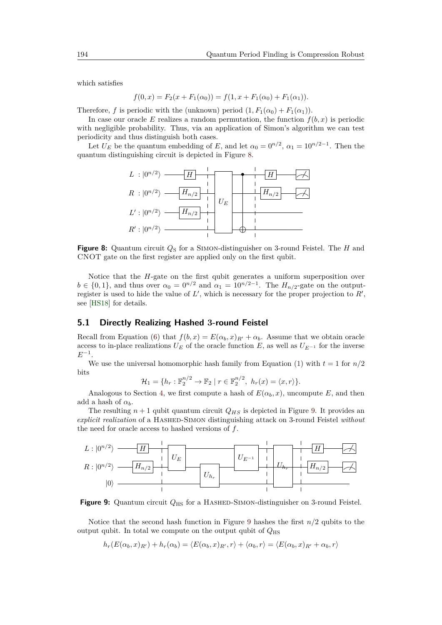which satisfies

$$
f(0, x) = F_2(x + F_1(\alpha_0)) = f(1, x + F_1(\alpha_0) + F_1(\alpha_1)).
$$

Therefore, *f* is periodic with the (unknown) period  $(1, F_1(\alpha_0) + F_1(\alpha_1))$ .

In case our oracle *E* realizes a random permutation, the function  $f(b, x)$  is periodic with negligible probability. Thus, via an application of Simon's algorithm we can test periodicity and thus distinguish both cases.

<span id="page-11-0"></span>Let  $U_E$  be the quantum embedding of *E*, and let  $\alpha_0 = 0^{n/2}$ ,  $\alpha_1 = 10^{n/2-1}$ . Then the quantum distinguishing circuit is depicted in Figure [8.](#page-11-0)



**Figure 8:** Quantum circuit  $Q_S$  for a SIMON-distinguisher on 3-round Feistel. The *H* and CNOT gate on the first register are applied only on the first qubit.

Notice that the *H*-gate on the first qubit generates a uniform superposition over  $b \in \{0, 1\}$ , and thus over  $\alpha_0 = 0^{n/2}$  and  $\alpha_1 = 10^{n/2-1}$ . The  $H_{n/2}$ -gate on the outputregister is used to hide the value of  $L'$ , which is necessary for the proper projection to  $R'$ , see [\[HS18\]](#page-26-11) for details.

#### **5.1 Directly Realizing Hashed 3-round Feistel**

Recall from Equation [\(6\)](#page-10-4) that  $f(b, x) = E(\alpha_b, x)_{R'} + \alpha_b$ . Assume that we obtain oracle access to in-place realizations  $U_E$  of the oracle function  $E$ , as well as  $U_{E^{-1}}$  for the inverse  $E^{-1}$ .

We use the universal homomorphic hash family from Equation  $(1)$  with  $t = 1$  for  $n/2$ bits

$$
\mathcal{H}_1 = \{ h_r : \mathbb{F}_2^{n/2} \to \mathbb{F}_2 \mid r \in \mathbb{F}_2^{n/2}, \ h_r(x) = \langle x, r \rangle \}.
$$

Analogous to Section [4,](#page-8-0) we first compute a hash of  $E(\alpha_b, x)$ , uncompute *E*, and then add a hash of  $\alpha_b$ .

The resulting  $n + 1$  qubit quantum circuit  $Q_{HS}$  is depicted in Figure [9.](#page-11-1) It provides an *explicit realization* of a HASHED-SIMON distinguishing attack on 3-round Feistel *without* the need for oracle access to hashed versions of *f*.

<span id="page-11-1"></span>

**Figure 9:** Quantum circuit  $Q_{\text{HS}}$  for a HASHED-SIMON-distinguisher on 3-round Feistel.

Notice that the second hash function in Figure [9](#page-11-1) hashes the first *n/*2 qubits to the output qubit. In total we compute on the output qubit of  $Q_{\text{HS}}$ 

$$
h_r(E(\alpha_b,x)_{R'}) + h_r(\alpha_b) = \langle E(\alpha_b,x)_{R'},r\rangle + \langle \alpha_b,r\rangle = \langle E(\alpha_b,x)_{R'} + \alpha_b,r\rangle
$$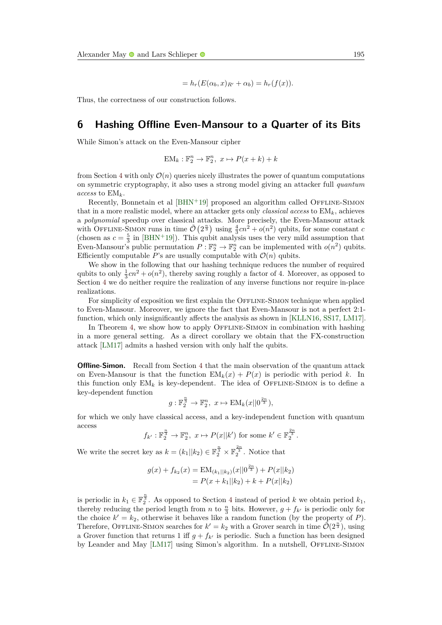$$
= h_r(E(\alpha_b, x)_{R'} + \alpha_b) = h_r(f(x)).
$$

Thus, the correctness of our construction follows.

# <span id="page-12-0"></span>**6 Hashing Offline Even-Mansour to a Quarter of its Bits**

While Simon's attack on the Even-Mansour cipher

$$
EM_k: \mathbb{F}_2^n \to \mathbb{F}_2^n, \ x \mapsto P(x+k) + k
$$

from Section [4](#page-8-0) with only  $\mathcal{O}(n)$  queries nicely illustrates the power of quantum computations on symmetric cryptography, it also uses a strong model giving an attacker full *quantum access* to EM*k*.

Recently, Bonnetain et al [\[BHN](#page-26-4)+19] proposed an algorithm called OFFLINE-SIMON that in a more realistic model, where an attacker gets only *classical access* to EM*k*, achieves a *polynomial* speedup over classical attacks. More precisely, the Even-Mansour attack with OFFLINE-SIMON runs in time  $\tilde{\mathcal{O}}(2^{\frac{n}{3}})$  using  $\frac{4}{3}cn^2 + o(n^2)$  qubits, for some constant *c* (chosen as  $c = \frac{5}{3}$  in [\[BHN](#page-26-4)<sup>+</sup>19]). This qubit analysis uses the very mild assumption that Even-Mansour's public permutation  $P : \mathbb{F}_2^n \to \mathbb{F}_2^n$  can be implemented with  $o(n^2)$  qubits. Efficiently computable *P*'s are usually computable with  $\mathcal{O}(n)$  qubits.

We show in the following that our hashing technique reduces the number of required qubits to only  $\frac{1}{3}cn^2 + o(n^2)$ , thereby saving roughly a factor of 4. Moreover, as opposed to Section [4](#page-8-0) we do neither require the realization of any inverse functions nor require in-place realizations.

For simplicity of exposition we first explain the OFFLINE-SIMON technique when applied to Even-Mansour. Moreover, we ignore the fact that Even-Mansour is not a perfect 2:1 function, which only insignificantly affects the analysis as shown in [\[KLLN16,](#page-27-1) [SS17,](#page-28-0) [LM17\]](#page-27-2).

In Theorem [4,](#page-15-0) we show how to apply OFFLINE-SIMON in combination with hashing in a more general setting. As a direct corollary we obtain that the FX-construction attack [\[LM17\]](#page-27-2) admits a hashed version with only half the qubits.

**Offline-Simon.** Recall from Section [4](#page-8-0) that the main observation of the quantum attack on Even-Mansour is that the function  $EM_k(x) + P(x)$  is periodic with period k. In this function only  $EM_k$  is key-dependent. The idea of OFFLINE-SIMON is to define a key-dependent function

$$
g: \mathbb{F}_2^{\frac{n}{3}} \to \mathbb{F}_2^n, \ x \mapsto \text{EM}_k(x||0^{\frac{2n}{3}}),
$$

for which we only have classical access, and a key-independent function with quantum access

$$
f_{k'}:\mathbb{F}_2^{\frac{n}{3}}\to\mathbb{F}_2^n, x\mapsto P(x||k') \text{ for some } k'\in\mathbb{F}_2^{\frac{2n}{3}}.
$$

We write the secret key as  $k = (k_1||k_2) \in \mathbb{F}_2^{\frac{n}{3}} \times \mathbb{F}_2^{\frac{2n}{3}}$ . Notice that

$$
g(x) + f_{k_2}(x) = EM_{(k_1||k_2)}(x||0^{\frac{2n}{3}}) + P(x||k_2)
$$
  
=  $P(x + k_1||k_2) + k + P(x||k_2)$ 

is periodic in  $k_1 \in \mathbb{F}_2^{\frac{n}{3}}$ . As opposed to Section [4](#page-8-0) instead of period *k* we obtain period  $k_1$ , thereby reducing the period length from *n* to  $\frac{n}{3}$  bits. However,  $g + f_{k'}$  is periodic only for the choice  $k' = k_2$ , otherwise it behaves like a random function (by the property of *P*). Therefore, OFFLINE-SIMON searches for  $k' = k_2$  with a Grover search in time  $\tilde{\mathcal{O}}(2^{\frac{n}{3}})$ , using a Grover function that returns 1 iff  $g + f_{k'}$  is periodic. Such a function has been designed by Leander and May [\[LM17\]](#page-27-2) using Simon's algorithm. In a nutshell, OFFLINE-SIMON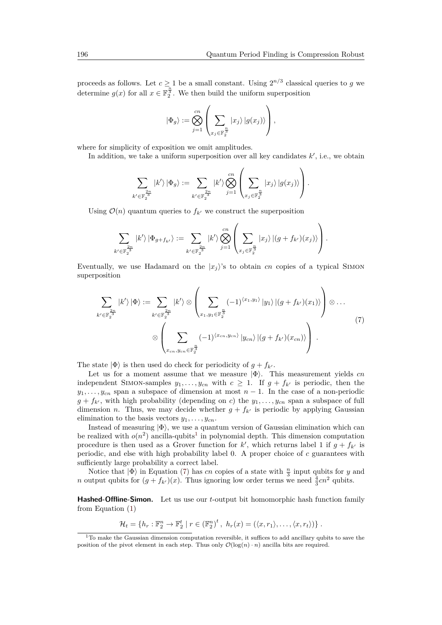proceeds as follows. Let  $c \geq 1$  be a small constant. Using  $2^{n/3}$  classical queries to *g* we determine  $g(x)$  for all  $x \in \mathbb{F}_2^{\frac{n}{3}}$ . We then build the uniform superposition

$$
|\Phi_g\rangle := \bigotimes_{j=1}^{cn} \left( \sum_{x_j \in \mathbb{F}_2^{\frac{n}{3}}} |x_j\rangle |g(x_j)\rangle \right),
$$

where for simplicity of exposition we omit amplitudes.

In addition, we take a uniform superposition over all key candidates  $k'$ , i.e., we obtain

$$
\sum_{k' \in \mathbb{F}_2^{\frac{2n}{3}}} |k'\rangle |\Phi_g\rangle := \sum_{k' \in \mathbb{F}_2^{\frac{2n}{3}}} |k'\rangle \bigotimes_{j=1}^{cn} \left( \sum_{x_j \in \mathbb{F}_2^{\frac{n}{3}}} |x_j\rangle |g(x_j)\rangle \right).
$$

Using  $\mathcal{O}(n)$  quantum queries to  $f_{k'}$  we construct the superposition

$$
\sum_{k'\in \mathbb{F}_2^{\frac{2n}{3}}} |k'\rangle |\Phi_{g+f_{k'}}\rangle := \sum_{k'\in \mathbb{F}_2^{\frac{2n}{3}}} |k'\rangle \bigotimes_{j=1}^{cn} \left(\sum_{x_j\in \mathbb{F}_2^{\frac{n}{3}}} |x_j\rangle |(g+f_{k'})(x_j)\rangle\right).
$$

Eventually, we use Hadamard on the  $|x_i\rangle$ 's to obtain *cn* copies of a typical SIMON superposition

<span id="page-13-1"></span>
$$
\sum_{k' \in \mathbb{F}_2^{\frac{2n}{3}}} |k'\rangle |\Phi\rangle := \sum_{k' \in \mathbb{F}_2^{\frac{2n}{3}}} |k'\rangle \otimes \left(\sum_{x_1, y_1 \in \mathbb{F}_2^{\frac{n}{3}}} (-1)^{\langle x_1, y_1 \rangle} |y_1\rangle |(g + f_{k'})(x_1)\rangle\right) \otimes \dots
$$
\n
$$
\otimes \left(\sum_{x_{cn}, y_{cn} \in \mathbb{F}_2^{\frac{n}{3}}} (-1)^{\langle x_{cn}, y_{cn} \rangle} |y_{cn}\rangle |(g + f_{k'})(x_{cn})\rangle\right).
$$
\n(7)

The state  $|\Phi\rangle$  is then used do check for periodicity of  $g + f_{k'}$ .

Let us for a moment assume that we measure  $|\Phi\rangle$ . This measurement yields  $cn$ independent SIMON-samples  $y_1, \ldots, y_{cn}$  with  $c \geq 1$ . If  $g + f_{k'}$  is periodic, then the  $y_1, \ldots, y_{cn}$  span a subspace of dimension at most  $n-1$ . In the case of a non-periodic  $g + f_{k'}$ , with high probability (depending on *c*) the  $y_1, \ldots, y_{cn}$  span a subspace of full dimension *n*. Thus, we may decide whether  $g + f_{k'}$  is periodic by applying Gaussian elimination to the basis vectors  $y_1, \ldots, y_{cn}$ .

Instead of measuring  $|\Phi\rangle$ , we use a quantum version of Gaussian elimination which can be realized with  $o(n^2)$  ancilla-qubits<sup>[1](#page-13-0)</sup> in polynomial depth. This dimension computation procedure is then used as a Grover function for  $k'$ , which returns label 1 if  $g + f_{k'}$  is periodic, and else with high probability label 0. A proper choice of *c* guarantees with sufficiently large probability a correct label.

Notice that  $|\Phi\rangle$  in Equation [\(7\)](#page-13-1) has *cn* copies of a state with  $\frac{n}{3}$  input qubits for *y* and *n* output qubits for  $(g + f_{k'})$  (*x*). Thus ignoring low order terms we need  $\frac{4}{3}cn^2$  qubits.

**Hashed-Offline-Simon.** Let us use our *t*-output bit homomorphic hash function family from Equation [\(1\)](#page-3-3)

$$
\mathcal{H}_t = \{h_r : \mathbb{F}_2^n \to \mathbb{F}_2^t \mid r \in (\mathbb{F}_2^n)^t, \ h_r(x) = (\langle x, r_1 \rangle, \ldots, \langle x, r_t \rangle)\}.
$$

<span id="page-13-0"></span> $1$ To make the Gaussian dimension computation reversible, it suffices to add ancillary qubits to save the position of the pivot element in each step. Thus only  $\mathcal{O}(\log(n) \cdot n)$  ancilla bits are required.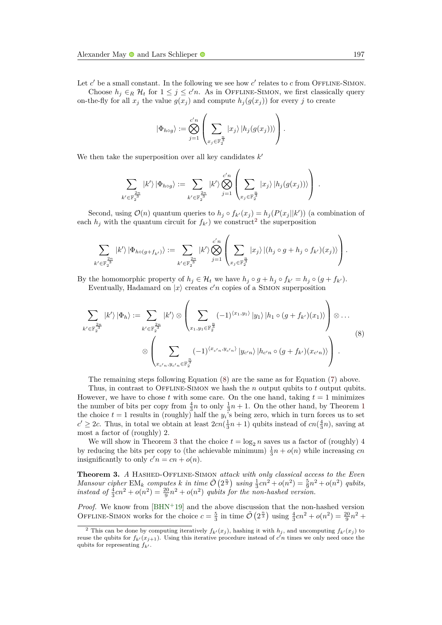Let  $c'$  be a small constant. In the following we see how  $c'$  relates to  $c$  from OFFLINE-SIMON.

Choose  $h_j \in_R \mathcal{H}_t$  for  $1 \leq j \leq c'n$ . As in OFFLINE-SIMON, we first classically query on-the-fly for all  $x_j$  the value  $g(x_j)$  and compute  $h_j(g(x_j))$  for every *j* to create

$$
|\Phi_{h\circ g}\rangle := \bigotimes_{j=1}^{c'n} \left(\sum_{x_j \in \mathbb{F}_2^{\frac{n}{3}}} |x_j\rangle |h_j(g(x_j))\rangle\right).
$$

We then take the superposition over all key candidates  $k'$ 

$$
\sum_{k' \in \mathbb{F}_2^{\frac{2n}{3}}} |k'\rangle |\Phi_{h \circ g}\rangle := \sum_{k' \in \mathbb{F}_2^{\frac{2n}{3}}} |k'\rangle \bigotimes_{j=1}^{c'n} \left( \sum_{x_j \in \mathbb{F}_2^{\frac{n}{3}}} |x_j\rangle |h_j(g(x_j))\rangle \right).
$$

Second, using  $\mathcal{O}(n)$  quantum queries to  $h_j \circ f_{k'}(x_j) = h_j(P(x_j||k'))$  (a combination of each  $h_j$  with the quantum circuit for  $f_{k'}$  we construct<sup>[2](#page-14-0)</sup> the superposition

$$
\sum_{k' \in \mathbb{F}_2^{\frac{2n}{3}}} |k'\rangle |\Phi_{h \circ (g+f_{k'})\rangle := \sum_{k' \in \mathbb{F}_2^{\frac{2n}{3}}} |k'\rangle \bigotimes_{j=1}^{c'n} \left( \sum_{x_j \in \mathbb{F}_2^{\frac{n}{3}}} |x_j\rangle |(h_j \circ g + h_j \circ f_{k'})(x_j)\rangle \right).
$$

By the homomorphic property of  $h_j \in \mathcal{H}_t$  we have  $h_j \circ g + h_j \circ f_{k'} = h_j \circ (g + f_{k'})$ . Eventually, Hadamard on  $|x\rangle$  creates  $c'n$  copies of a SIMON superposition

<span id="page-14-1"></span>
$$
\sum_{k' \in \mathbb{F}_2^{\frac{2n}{3}}} |k'\rangle |\Phi_h\rangle := \sum_{k' \in \mathbb{F}_2^{\frac{2n}{3}}} |k'\rangle \otimes \left(\sum_{x_1, y_1 \in \mathbb{F}_2^{\frac{n}{3}}} (-1)^{\langle x_1, y_1 \rangle} |y_1\rangle |h_1 \circ (g + f_{k'})(x_1)\rangle\right) \otimes \dots
$$
\n
$$
\otimes \left(\sum_{x_{c'n}, y_{c'n} \in \mathbb{F}_2^{\frac{n}{3}}} (-1)^{\langle x_{c'n}, y_{c'n}\rangle} |y_{c'n}\rangle |h_{c'n} \circ (g + f_{k'})(x_{c'n})\right) \qquad (8)
$$

The remaining steps following Equation [\(8\)](#page-14-1) are the same as for Equation [\(7\)](#page-13-1) above.

Thus, in contrast to Offline-Simon we hash the *n* output qubits to *t* output qubits. However, we have to chose  $t$  with some care. On the one hand, taking  $t = 1$  minimizes the number of bits per copy from  $\frac{4}{3}n$  to only  $\frac{1}{3}n + 1$  $\frac{1}{3}n + 1$  $\frac{1}{3}n + 1$ . On the other hand, by Theorem 1 the choice  $t = 1$  results in (roughly) half the  $y_i$ 's being zero, which in turn forces us to set  $c' \geq 2c$ . Thus, in total we obtain at least  $2cn(\frac{1}{3}n+1)$  qubits instead of  $cn(\frac{4}{3}n)$ , saving at most a factor of (roughly) 2.

We will show in Theorem [3](#page-14-2) that the choice  $t = \log_2 n$  saves us a factor of (roughly) 4 by reducing the bits per copy to (the achievable minimum)  $\frac{1}{3}n + o(n)$  while increasing *cn* insignificantly to only  $c'n = cn + o(n)$ .

<span id="page-14-2"></span>**Theorem 3.** *A* Hashed-Offline-Simon *attack with only classical access to the Even Mansour cipher*  $EM_k$  *computes*  $k$  *in time*  $\tilde{\mathcal{O}}(2^{\frac{n}{3}})$  *using*  $\frac{1}{3}cn^2 + o(n^2) = \frac{5}{9}n^2 + o(n^2)$  *qubits,* instead of  $\frac{4}{3}cn^2 + o(n^2) = \frac{20}{9}n^2 + o(n^2)$  qubits for the non-hashed version.

*Proof.* We know from [\[BHN](#page-26-4)+19] and the above discussion that the non-hashed version OFFLINE-SIMON works for the choice  $c = \frac{5}{3}$  in time  $\tilde{\mathcal{O}}(2^{\frac{n}{3}})$  using  $\frac{4}{3}cn^2 + o(n^2) = \frac{20}{9}n^2 +$ 

<span id="page-14-0"></span><sup>&</sup>lt;sup>2</sup> This can be done by computing iteratively  $f_k(x_i)$ , hashing it with  $h_j$ , and uncomputing  $f_k(x_i)$  to reuse the qubits for  $f_{k'}(x_{j+1})$ . Using this iterative procedure instead of  $c'n$  times we only need once the qubits for representing  $f_{k'}$ .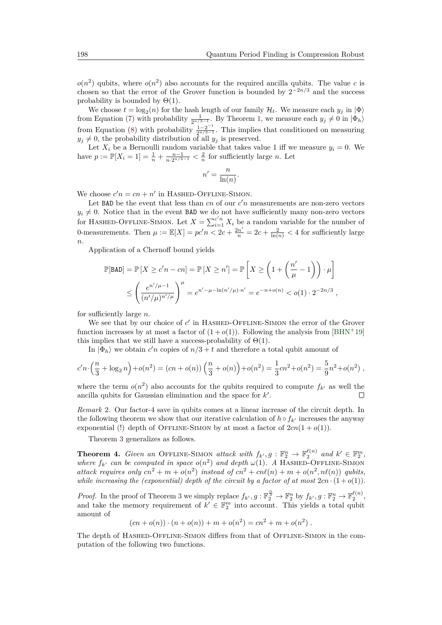$o(n^2)$  qubits, where  $o(n^2)$  also accounts for the required ancilla qubits. The value *c* is chosen so that the error of the Grover function is bounded by  $2^{-2n/3}$  and the success probability is bounded by  $\Theta(1)$ .

We choose  $t = \log_2(n)$  for the hash length of our family  $\mathcal{H}_t$ . We measure each  $y_j$  in  $|\Phi\rangle$ from Equation [\(7\)](#page-13-1) with probability  $\frac{1}{2^{n/3-1}}$ . By Theorem [1,](#page-6-1) we measure each  $y_j \neq 0$  in  $|\Phi_h\rangle$ from Equation [\(8\)](#page-14-1) with probability  $\frac{1-2^{-t}}{2n/3-1}$  $\frac{1-2}{2^{n/3-1}}$ . This implies that conditioned on measuring  $y_j \neq 0$ , the probability distribution of all  $y_j$  is preserved.

Let  $X_i$  be a Bernoulli random variable that takes value 1 iff we measure  $y_i = 0$ . We have  $p := \mathbb{P}[X_i = 1] = \frac{1}{n} + \frac{n-1}{n \cdot 2^{n/3-1}} < \frac{2}{n}$  for sufficiently large *n*. Let

$$
n' = \frac{n}{\ln(n)}.
$$

We choose  $c'n = cn + n'$  in HASHED-OFFLINE-SIMON.

Let BAD be the event that less than  $cn$  of our  $c'n$  measurements are non-zero vectors  $y_i \neq 0$ . Notice that in the event BAD we do not have sufficiently many non-zero vectors for HASHED-OFFLINE-SIMON. Let  $X = \sum_{i=1}^{c'n} X_i$  be a random variable for the number of 0-measurements. Then  $\mu := \mathbb{E}[X] = pc'n < 2c + \frac{2n'}{n} = 2c + \frac{2}{\ln(n)} < 4$  for sufficiently large *n*.

Application of a Chernoff bound yields

$$
\mathbb{P}[\text{BAD}] = \mathbb{P}\left[X \ge c'n - cn\right] = \mathbb{P}\left[X \ge n'\right] = \mathbb{P}\left[X \ge \left(1 + \left(\frac{n'}{\mu} - 1\right)\right) \cdot \mu\right]
$$

$$
\le \left(\frac{e^{n'/\mu - 1}}{(n'/\mu)^{n'/\mu}}\right)^{\mu} = e^{n' - \mu - \ln(n'/\mu) \cdot n'} = e^{-n + o(n)} < o(1) \cdot 2^{-2n/3},
$$

for sufficiently large *n*.

We see that by our choice of  $c'$  in HASHED-OFFLINE-SIMON the error of the Grover function increases by at most a factor of  $(1 + o(1))$ . Following the analysis from [\[BHN](#page-26-4)<sup>+19]</sup> this implies that we still have a success-probability of  $\Theta(1)$ .

In  $|\Phi_h\rangle$  we obtain  $c'n$  copies of  $n/3 + t$  and therefore a total qubit amount of

$$
c'n \cdot \left(\frac{n}{3} + \log_2 n\right) + o(n^2) = (cn + o(n))\left(\frac{n}{3} + o(n)\right) + o(n^2) = \frac{1}{3}cn^2 + o(n^2) = \frac{5}{9}n^2 + o(n^2) ,
$$

where the term  $o(n^2)$  also accounts for the qubits required to compute  $f_{k'}$  as well the ancilla qubits for Gaussian elimination and the space for  $k'$ . П

*Remark* 2*.* Our factor-4 save in qubits comes at a linear increase of the circuit depth. In the following theorem we show that our iterative calculation of  $h \circ f_{k'}$  increases the anyway exponential (!) depth of OFFLINE-SIMON by at most a factor of  $2cn(1 + o(1))$ .

Theorem [3](#page-14-2) generalizes as follows.

<span id="page-15-0"></span>**Theorem 4.** *Given an* OFFLINE-SIMON *attack with*  $f_k$ ,  $g : \mathbb{F}_2^n \to \mathbb{F}_2^{\ell(n)}$  *and*  $k' \in \mathbb{F}_2^m$ , *where*  $f_k$  *can be computed in space*  $o(n^2)$  *and depth*  $\omega(1)$ *. A* HASHED-OFFLINE-SIMON *attack requires only*  $cn^2 + m + o(n^2)$  *instead of*  $cn^2 + cn\ell(n) + m + o(n^2, n\ell(n))$  *qubits, while increasing the (exponential) depth of the circuit by a factor of at most*  $2cn \cdot (1 + o(1))$ .

*Proof.* In the proof of Theorem [3](#page-14-2) we simply replace  $f_{k'}$ ,  $g : \mathbb{F}_2^{\frac{n}{3}} \to \mathbb{F}_2^n$  by  $f_{k'}$ ,  $g : \mathbb{F}_2^n \to \mathbb{F}_2^{\ell(n)}$ , and take the memory requirement of  $k' \in \mathbb{F}_2^m$  into account. This yields a total qubit amount of

 $(n + o(n)) \cdot (n + o(n)) + m + o(n^2) = cn^2 + m + o(n^2)$ .

The depth of HASHED-OFFLINE-SIMON differs from that of OFFLINE-SIMON in the computation of the following two functions.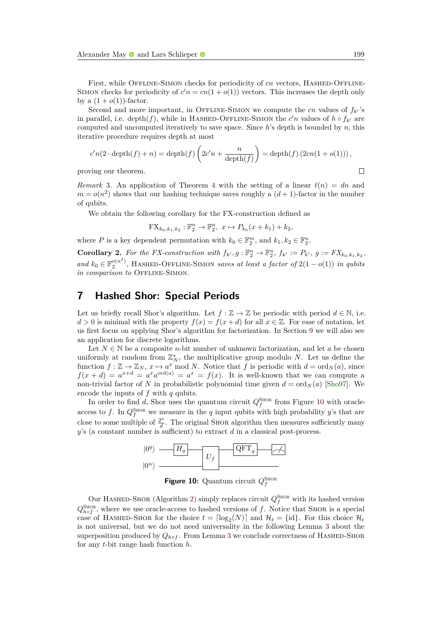First, while OFFLINE-SIMON checks for periodicity of *cn* vectors, HASHED-OFFLINE-SIMON checks for periodicity of  $c'n = cn(1 + o(1))$  vectors. This increases the depth only by a  $(1+o(1))$ -factor.

Second and more important, in OFFLINE-SIMON we compute the *cn* values of  $f_k$ 's in parallel, i.e. depth $(f)$ , while in HASHED-OFFLINE-SIMON the  $c'n$  values of  $h \circ f_{k'}$  are computed and uncomputed iteratively to save space. Since *h*'s depth is bounded by *n*, this iterative procedure requires depth at most

$$
c'n(2 \cdot \operatorname{depth}(f) + n) = \operatorname{depth}(f)\left(2c'n + \frac{n}{\operatorname{depth}(f)}\right) = \operatorname{depth}(f)\left(2cn(1 + o(1))\right),
$$

proving our theorem.

*Remark* 3. An application of Theorem [4](#page-15-0) with the setting of a linear  $\ell(n) = dn$  and  $m = o(n^2)$  shows that our hashing technique saves roughly a  $(d+1)$ -factor in the number of qubits.

We obtain the following corollary for the FX-construction defined as

$$
FX_{k_0,k_1,k_2} : \mathbb{F}_2^n \to \mathbb{F}_2^n, \ x \mapsto P_{k_0}(x+k_1) + k_2,
$$

where *P* is a key dependent permutation with  $k_0 \in \mathbb{F}_2^m$ , and  $k_1, k_2 \in \mathbb{F}_2^n$ .

**Corollary 2.** For the FX-construction with  $f_{k'}, g : \mathbb{F}_2^n \to \mathbb{F}_2^n$ ,  $f_{k'} := P_{k'}, g := FX_{k_0, k_1, k_2}$ , *and*  $k_0$  ∈  $\mathbb{F}_2^{\circ(n^2)}$ , HASHED-OFFLINE-SIMON *saves at least a factor of* 2(1 − *o*(1)) *in qubits in comparison to* OFFLINE-SIMON

### <span id="page-16-0"></span>**7 Hashed Shor: Special Periods**

Let us briefly recall Shor's algorithm. Let  $f : \mathbb{Z} \to \mathbb{Z}$  be periodic with period  $d \in \mathbb{N}$ , i.e.  $d > 0$  is minimal with the property  $f(x) = f(x + d)$  for all  $x \in \mathbb{Z}$ . For ease of notation, let us first focus on applying Shor's algorithm for factorization. In Section [9](#page-23-0) we will also see an application for discrete logarithms.

Let  $N \in \mathbb{N}$  be a composite *n*-bit number of unknown factorization, and let *a* be chosen uniformly at random from  $\mathbb{Z}_N^*$ , the multiplicative group modulo *N*. Let us define the function  $f: \mathbb{Z} \to \mathbb{Z}_N$ ,  $x \mapsto a^x \mod N$ . Notice that *f* is periodic with  $d = \text{ord}_N(a)$ , since  $f(x+d) = a^{x+d} = a^x a^{\text{ord}(a)} = a^x = f(x)$ . It is well-known that we can compute a non-trivial factor of *N* in probabilistic polynomial time given  $d = \text{ord}_N(a)$  [\[Sho97\]](#page-27-13). We encode the inputs of *f* with *q* qubits.

<span id="page-16-1"></span>In order to find *d*, Shor uses the quantum circuit  $Q_f^{\text{SHOR}}$  from Figure [10](#page-16-1) with oracleaccess to f. In  $Q_f^{\text{SHOR}}$  we measure in the q input qubits with high probability y's that are close to some multiple of  $\frac{2^q}{d}$  $\frac{d^2}{d}$ . The original SHOR algorithm then measures sufficiently many *y*'s (a constant number is sufficient) to extract *d* in a classical post-process.



**Figure 10:** Quantum circuit  $Q_f^{\text{ShOR}}$ 

<span id="page-16-2"></span>Our HASHED-SHOR (Algorithm [2\)](#page-17-0) simply replaces circuit  $Q_f^{\text{SHOR}}$  with its hashed version  $Q_{hof}^{\text{SHOR}}$ , where we use oracle-access to hashed versions of *f*. Notice that SHOR is a special case of HASHED-SHOR for the choice  $t = \lfloor \log_2(N) \rfloor$  and  $\mathcal{H}_t = \{id\}$ . For this choice  $\mathcal{H}_t$ is not universal, but we do not need universality in the following Lemma [3](#page-16-2) about the superposition produced by  $Q_{h \circ f}$ . From Lemma [3](#page-16-2) we conclude correctness of HASHED-SHOR for any *t*-bit range hash function *h*.

$$
\sqcup
$$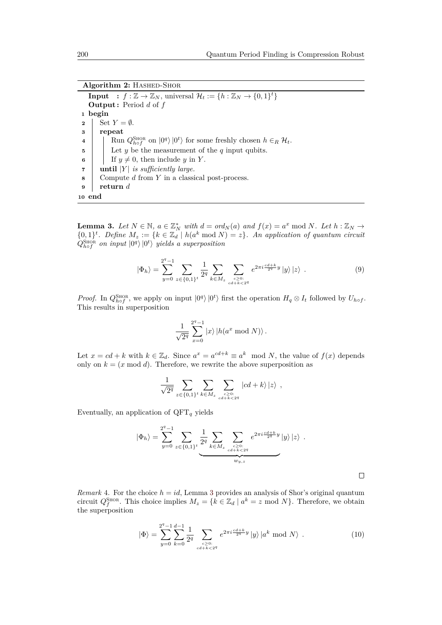**Algorithm 2: HASHED-SHOR** 

**Input** :  $f : \mathbb{Z} \to \mathbb{Z}_N$ , universal  $\mathcal{H}_t := \{h : \mathbb{Z}_N \to \{0,1\}^t\}$ **Output :** Period *d* of *f* **1 begin 2** Set  $Y = \emptyset$ . **3 repeat 4**  $\left| \int \text{Run } Q_{h \circ f}^{\text{SHOR}} \text{ on } |0^q \rangle |0^t \rangle \text{ for some freshly chosen } h \in_R \mathcal{H}_t.$ **5** Let *y* be the measurement of the *q* input qubits. **6** If  $y \neq 0$ , then include *y* in *Y*. **<sup>7</sup> until** |*Y* | *is sufficiently large.* **8** Compute *d* from *Y* in a classical post-process. **<sup>9</sup> return** *d* **10 end**

<span id="page-17-0"></span>**Lemma 3.** Let  $N \in \mathbb{N}$ ,  $a \in \mathbb{Z}_N^*$  with  $d = ord_N(a)$  and  $f(x) = a^x \mod N$ . Let  $h : \mathbb{Z}_N \to$  $\{0,1\}^t$ . Define  $M_z := \{k \in \mathbb{Z}_d \mid h(a^k \text{ mod } N) = z\}$ . An application of quantum circuit  $\hat{Q}_{hof}^{\text{Stor}}$  *on input*  $|0^q\rangle |0^t\rangle$  *yields a superposition* 

<span id="page-17-2"></span>
$$
|\Phi_h\rangle = \sum_{y=0}^{2^q-1} \sum_{z \in \{0,1\}^t} \frac{1}{2^q} \sum_{k \in M_z} \sum_{\substack{c \ge 0:\\cd+i k < 2^q}} e^{2\pi i \frac{cd+k}{2^q} y} |y\rangle |z\rangle \tag{9}
$$

*Proof.* In  $Q_{h\circ f}^{\text{SHOR}}$ , we apply on input  $|0^q\rangle |0^t\rangle$  first the operation  $H_q \otimes I_t$  followed by  $U_{h\circ f}$ . This results in superposition

$$
\frac{1}{\sqrt{2^q}}\sum_{x=0}^{2^q-1}\left|x\right>\left|h(a^x\bmod N)\right>.
$$

Let  $x = cd + k$  with  $k \in \mathbb{Z}_d$ . Since  $a^x = a^{cd+k} \equiv a^k \mod N$ , the value of  $f(x)$  depends only on  $k = (x \mod d)$ . Therefore, we rewrite the above superposition as

$$
\frac{1}{\sqrt{2^q}} \sum_{z \in \{0,1\}^t} \sum_{k \in M_z} \sum_{\substack{c \ge 0:\\cd+ k < 2^q}} |cd + k\rangle |z\rangle ,
$$

Eventually, an application of  $QFT_q$  yields

$$
|\Phi_h\rangle = \sum_{y=0}^{2^q-1} \sum_{z \in \{0,1\}^t} \underbrace{\frac{1}{2^q} \sum_{k \in M_z} \sum_{\substack{c \ge 0: \\ cd + k < 2^q}} e^{2\pi i \frac{cd+k}{2^q} y} |y\rangle |z\rangle .
$$

 $\Box$ 

*Remark* 4. For the choice  $h = id$ , Lemma [3](#page-16-2) provides an analysis of Shor's original quantum circuit  $Q_f^{\text{SHOR}}$ . This choice implies  $M_z = \{k \in \mathbb{Z}_d \mid a^k = z \mod N\}$ . Therefore, we obtain the superposition

<span id="page-17-1"></span>
$$
|\Phi\rangle = \sum_{y=0}^{2^q-1} \sum_{k=0}^{d-1} \frac{1}{2^q} \sum_{\substack{c \ge 0:\\cd+k < 2^q}} e^{2\pi i \frac{cd+k}{2^q} y} |y\rangle |a^k \mod N \,.
$$
 (10)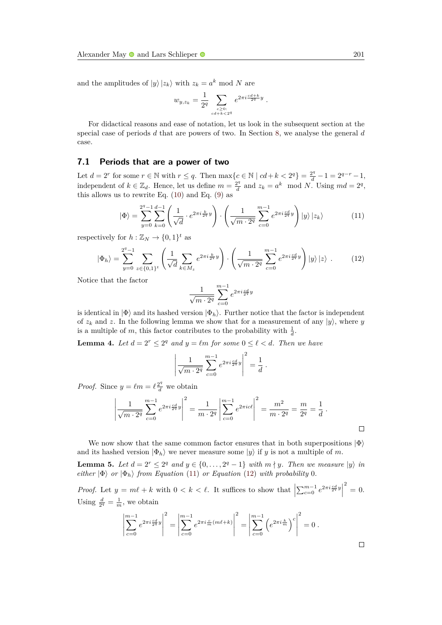and the amplitudes of  $|y\rangle |z_k\rangle$  with  $z_k = a^k \mod N$  are

$$
w_{y,z_k} = \frac{1}{2^q} \sum_{\substack{c \geq 0:\\ cd+k < 2^q}} e^{2\pi i \frac{cd+k}{2^q}y}
$$

For didactical reasons and ease of notation, let us look in the subsequent section at the special case of periods *d* that are powers of two. In Section [8,](#page-20-0) we analyse the general *d* case.

#### **7.1 Periods that are a power of two**

Let  $d = 2^r$  for some  $r \in \mathbb{N}$  with  $r \leq q$ . Then  $\max\{c \in \mathbb{N} \mid cd + k < 2^q\} = \frac{2^q}{d} - 1 = 2^{q-r} - 1$ , independent of  $k \in \mathbb{Z}_d$ . Hence, let us define  $m = \frac{2^q}{d}$  $\frac{2^q}{d}$  and  $z_k = a^k \mod N$ . Using  $md = 2^q$ , this allows us to rewrite Eq.  $(10)$  and Eq.  $(9)$  as

<span id="page-18-0"></span>
$$
|\Phi\rangle = \sum_{y=0}^{2^q-1} \sum_{k=0}^{d-1} \left( \frac{1}{\sqrt{d}} \cdot e^{2\pi i \frac{k}{2^q} y} \right) \cdot \left( \frac{1}{\sqrt{m \cdot 2^q}} \sum_{c=0}^{m-1} e^{2\pi i \frac{cd}{2^q} y} \right) |y\rangle |z_k\rangle \tag{11}
$$

*.*

respectively for  $h: \mathbb{Z}_N \to \{0,1\}^t$  as

<span id="page-18-1"></span>
$$
|\Phi_h\rangle = \sum_{y=0}^{2^q-1} \sum_{z \in \{0,1\}^t} \left( \frac{1}{\sqrt{d}} \sum_{k \in M_z} e^{2\pi i \frac{k}{2^q} y} \right) \cdot \left( \frac{1}{\sqrt{m \cdot 2^q}} \sum_{c=0}^{m-1} e^{2\pi i \frac{cd}{2^q} y} \right) |y\rangle |z\rangle . \tag{12}
$$

Notice that the factor

$$
\frac{1}{\sqrt{m\cdot 2^q}}\sum_{c=0}^{m-1}e^{2\pi i\frac{cd}{2^q}y}
$$

is identical in  $|\Phi\rangle$  and its hashed version  $|\Phi_h\rangle$ . Further notice that the factor is independent of  $z_k$  and z. In the following lemma we show that for a measurement of any  $|y\rangle$ , where y is a multiple of m, this factor contributes to the probability with  $\frac{1}{d}$ .

<span id="page-18-2"></span>**Lemma 4.** Let  $d = 2^r \leq 2^q$  and  $y = \ell m$  for some  $0 \leq \ell < d$ . Then we have

$$
\left| \frac{1}{\sqrt{m \cdot 2^q}} \sum_{c=0}^{m-1} e^{2\pi i \frac{cd}{2^q} y} \right|^2 = \frac{1}{d}.
$$

*Proof.* Since  $y = \ell m = \ell \frac{2^q}{d}$  we obtain

$$
\left| \frac{1}{\sqrt{m \cdot 2^q}} \sum_{c=0}^{m-1} e^{2\pi i \frac{cd}{2^q} y} \right|^2 = \frac{1}{m \cdot 2^q} \left| \sum_{c=0}^{m-1} e^{2\pi i c \ell} \right|^2 = \frac{m^2}{m \cdot 2^q} = \frac{m}{2^q} = \frac{1}{d}.
$$

We now show that the same common factor ensures that in both superpositions  $|\Phi\rangle$ and its hashed version  $|\Phi_h\rangle$  we never measure some  $|y\rangle$  if *y* is not a multiple of *m*.

<span id="page-18-3"></span>**Lemma 5.** Let  $d = 2^r \leq 2^q$  and  $y \in \{0, \ldots, 2^q - 1\}$  with  $m \nmid y$ . Then we measure  $|y\rangle$  in *either*  $|\Phi\rangle$  *or*  $|\Phi_h\rangle$  *from Equation* [\(11\)](#page-18-0) *or Equation* [\(12\)](#page-18-1) *with probability* 0*.* 

*Proof.* Let  $y = m\ell + k$  with  $0 < k < \ell$ . It suffices to show that  $\left| \sum_{c=0}^{m-1} e^{2\pi i \frac{cd}{2q}y} \right|$  $2^{2} = 0.$ Using  $\frac{d}{2^q} = \frac{1}{m}$ , we obtain

$$
\left| \sum_{c=0}^{m-1} e^{2\pi i \frac{cd}{2^q} y} \right|^2 = \left| \sum_{c=0}^{m-1} e^{2\pi i \frac{c}{m} (m\ell + k)} \right|^2 = \left| \sum_{c=0}^{m-1} \left( e^{2\pi i \frac{k}{m}} \right)^c \right|^2 = 0.
$$

 $\Box$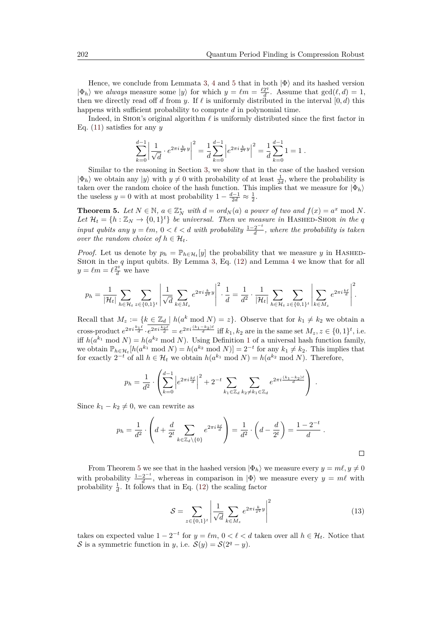Hence, we conclude from Lemmata [3,](#page-16-2) [4](#page-18-2) and [5](#page-18-3) that in both  $|\Phi\rangle$  and its hashed version  $|\Phi_h\rangle$  we *always* measure some  $|y\rangle$  for which  $y = \ell m = \frac{\ell 2^q}{d}$  $\frac{2^q}{d}$ . Assume that  $gcd(\ell, d) = 1$ , then we directly read off *d* from *y*. If  $\ell$  is uniformly distributed in the interval  $[0, d)$  this happens with sufficient probability to compute *d* in polynomial time.

Indeed, in SHOR's original algorithm  $\ell$  is uniformly distributed since the first factor in Eq. [\(11\)](#page-18-0) satisfies for any *y*

$$
\sum_{k=0}^{d-1} \left| \frac{1}{\sqrt{d}} \cdot e^{2\pi i \frac{k}{2^q} y} \right|^2 = \frac{1}{d} \sum_{k=0}^{d-1} \left| e^{2\pi i \frac{k}{2^q} y} \right|^2 = \frac{1}{d} \sum_{k=0}^{d-1} 1 = 1.
$$

Similar to the reasoning in Section [3,](#page-3-0) we show that in the case of the hashed version  $|\Phi_h\rangle$  we obtain any  $|y\rangle$  with  $y \neq 0$  with probability of at least  $\frac{1}{2d}$ , where the probability is taken over the random choice of the hash function. This implies that we measure for  $|\Phi_h\rangle$ the useless  $y = 0$  with at most probability  $1 - \frac{d-1}{2d} \approx \frac{1}{2}$ .

<span id="page-19-0"></span>**Theorem 5.** Let  $N \in \mathbb{N}$ ,  $a \in \mathbb{Z}_N^*$  with  $d = ord_N(a)$  a power of two and  $f(x) = a^x \mod N$ . Let  $\mathcal{H}_t = \{h : \mathbb{Z}_N \to \{0,1\}^t\}$  *be universal. Then we measure in* HASHED-SHOR *in the q input qubits any*  $y = \ell m$ ,  $0 < \ell < d$  *with probability*  $\frac{1-2^{-t}}{d}$  $\frac{2}{d}$ , where the probability is taken *over the random choice of*  $h \in \mathcal{H}_t$ *.* 

*Proof.* Let us denote by  $p_h = \mathbb{P}_{h \in \mathcal{H}_t}[y]$  the probability that we measure *y* in HASHED-SHOR in the *q* input qubits. By Lemma [3,](#page-16-2) Eq. [\(12\)](#page-18-1) and Lemma [4](#page-18-2) we know that for all  $y = \ell m = \ell \frac{2^q}{d}$  we have

$$
p_h = \frac{1}{|\mathcal{H}_t|} \sum_{h \in \mathcal{H}_t} \sum_{z \in \{0,1\}^t} \left| \frac{1}{\sqrt{d}} \sum_{k \in M_z} e^{2\pi i \frac{k}{2^q} y} \right|^2 \cdot \frac{1}{d} = \frac{1}{d^2} \cdot \frac{1}{|\mathcal{H}_t|} \sum_{h \in \mathcal{H}_t} \sum_{z \in \{0,1\}^t} \left| \sum_{k \in M_z} e^{2\pi i \frac{k\ell}{d}} \right|^2.
$$

Recall that  $M_z := \{k \in \mathbb{Z}_d \mid h(a^k \mod N) = z\}$ . Observe that for  $k_1 \neq k_2$  we obtain a cross-product  $e^{2\pi i \frac{k_1\ell}{d}} \cdot e^{2\pi i \frac{k_2\ell}{d}} = e^{2\pi i \frac{(k_1-k_2)\ell}{d}}$  iff  $k_1, k_2$  are in the same set  $M_z, z \in \{0,1\}^t$ , i.e. iff  $h(a^{k_1} \mod N) = h(a^{k_2} \mod N)$  $h(a^{k_1} \mod N) = h(a^{k_2} \mod N)$  $h(a^{k_1} \mod N) = h(a^{k_2} \mod N)$ . Using Definition 1 of a universal hash function family, we obtain  $\mathbb{P}_{h \in \mathcal{H}_t}[h(a^{k_1} \mod N) = h(a^{k_2} \mod N)] = 2^{-t}$  for any  $k_1 \neq k_2$ . This implies that for exactly  $2^{-t}$  of all  $h \in \mathcal{H}_t$  we obtain  $h(a^{k_1} \bmod N) = h(a^{k_2} \bmod N)$ . Therefore,

$$
p_h = \frac{1}{d^2} \cdot \left( \sum_{k=0}^{d-1} \left| e^{2\pi i \frac{k\ell}{d}} \right|^2 + 2^{-t} \sum_{k_1 \in \mathbb{Z}_d} \sum_{k_2 \neq k_1 \in \mathbb{Z}_d} e^{2\pi i \frac{(k_1 - k_2)\ell}{d}} \right) .
$$

Since  $k_1 - k_2 \neq 0$ , we can rewrite as

$$
p_h = \frac{1}{d^2} \cdot \left( d + \frac{d}{2^t} \sum_{k \in \mathbb{Z}_d \setminus \{0\}} e^{2\pi i \frac{k\ell}{d}} \right) = \frac{1}{d^2} \cdot \left( d - \frac{d}{2^t} \right) = \frac{1 - 2^{-t}}{d}.
$$

From Theorem [5](#page-19-0) we see that in the hashed version  $|\Phi_h\rangle$  we measure every  $y = m\ell, y \neq 0$ with probability  $\frac{1-2^{-t}}{d}$  $\frac{2^{-\epsilon}}{d}$ , whereas in comparison in  $|\Phi\rangle$  we measure every  $y = m\ell$  with probability  $\frac{1}{d}$ . It follows that in Eq. [\(12\)](#page-18-1) the scaling factor

<span id="page-19-1"></span>
$$
S = \sum_{z \in \{0,1\}^t} \left| \frac{1}{\sqrt{d}} \sum_{k \in M_z} e^{2\pi i \frac{k}{2^q} y} \right|^2 \tag{13}
$$

takes on expected value  $1 - 2^{-t}$  for  $y = \ell m$ ,  $0 < \ell < d$  taken over all  $h \in \mathcal{H}_t$ . Notice that S is a symmetric function in *y*, i.e.  $S(y) = S(2^q - y)$ .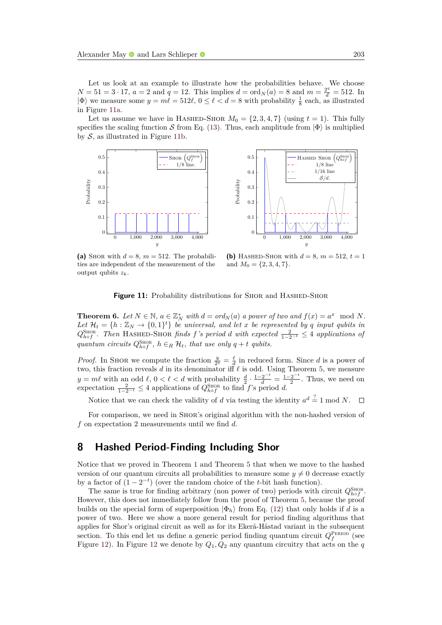Let us look at an example to illustrate how the probabilities behave. We choose  $N = 51 = 3 \cdot 17$ ,  $a = 2$  and  $q = 12$ . This implies  $d = \text{ord}_N(a) = 8$  and  $m = \frac{2^q}{d} = 512$ . In  $|\Phi\rangle$  we measure some  $y = m\ell = 512\ell, 0 \leq \ell < d = 8$  with probability  $\frac{1}{8}$  each, as illustrated in Figure [11a.](#page-20-1)

Let us assume we have in HASHED-SHOR  $M_0 = \{2, 3, 4, 7\}$  (using  $t = 1$ ). This fully specifies the scaling function S from Eq. [\(13\)](#page-19-1). Thus, each amplitude from  $|\Phi\rangle$  is multiplied by  $S$ , as illustrated in Figure [11b.](#page-20-2)



<span id="page-20-1"></span>(a) SHOR with  $d = 8$ ,  $m = 512$ . The probabilities are independent of the measurement of the output qubits *zk*.



<span id="page-20-2"></span>**(b)** HASHED-SHOR with  $d = 8$ ,  $m = 512$ ,  $t = 1$ and  $M_0 = \{2, 3, 4, 7\}.$ 

**Figure 11:** Probability distributions for SHOR and HASHED-SHOR

**Theorem 6.** Let  $N \in \mathbb{N}$ ,  $a \in \mathbb{Z}_N^*$  with  $d = \text{ord}_N(a)$  a power of two and  $f(x) = a^x \mod N$ . Let  $\mathcal{H}_t = \{h : \mathbb{Z}_N \to \{0,1\}^t\}$  *be universal, and let x be represented by q input qubits in*  $Q_{hof}^{\text{SHOR}}$ . Then HASHED-SHOR *finds f*<sup>'s</sup> period *d* with expected  $\frac{2}{1-2^{-t}} \leq 4$  applications of *quantum circuits*  $Q_{hof}^{SHOR}$ ,  $h \in_R \mathcal{H}_t$ , that use only  $q + t$  qubits.

*Proof.* In SHOR we compute the fraction  $\frac{y}{2^q} = \frac{\ell}{d}$  in reduced form. Since *d* is a power of two, this fraction reveals  $d$  in its denominator iff  $\ell$  is odd. Using Theorem [5,](#page-19-0) we measure  $y = m\ell$  with an odd  $\ell$ ,  $0 < \ell < d$  with probability  $\frac{d}{2} \cdot \frac{1-2^{-t}}{d} = \frac{1-2^{-t}}{2}$  $\frac{2^{-\epsilon}}{2}$ . Thus, we need on expectation  $\frac{2}{1-2^{-t}} \leq 4$  applications of  $Q_{hof}^{\text{SHOR}}$  to find *f*'s period *d*.

Notice that we can check the validity of *d* via testing the identity  $a^d \stackrel{?}{=} 1 \mod N$ .  $\Box$ 

For comparison, we need in Shor's original algorithm with the non-hashed version of *f* on expectation 2 measurements until we find *d*.

# <span id="page-20-0"></span>**8 Hashed Period-Finding Including Shor**

Notice that we proved in Theorem [1](#page-6-1) and Theorem [5](#page-19-0) that when we move to the hashed version of our quantum circuits all probabilities to measure some  $y \neq 0$  decrease exactly by a factor of  $(1 - 2^{-t})$  (over the random choice of the *t*-bit hash function).

The same is true for finding arbitrary (non power of two) periods with circuit  $Q_{hof}^{\text{SHOR}}$ . However, this does not immediately follow from the proof of Theorem [5,](#page-19-0) because the proof builds on the special form of superposition  $|\Phi_h\rangle$  from Eq. [\(12\)](#page-18-1) that only holds if *d* is a power of two. Here we show a more general result for period finding algorithms that applies for Shor's original circuit as well as for its Ekerå-Håstad variant in the subsequent section. To this end let us define a generic period finding quantum circuit  $Q_f^{\text{PERIOD}}$  (see Figure [12\)](#page-21-0). In Figure [12](#page-21-0) we denote by *Q*1*, Q*<sup>2</sup> any quantum circuitry that acts on the *q*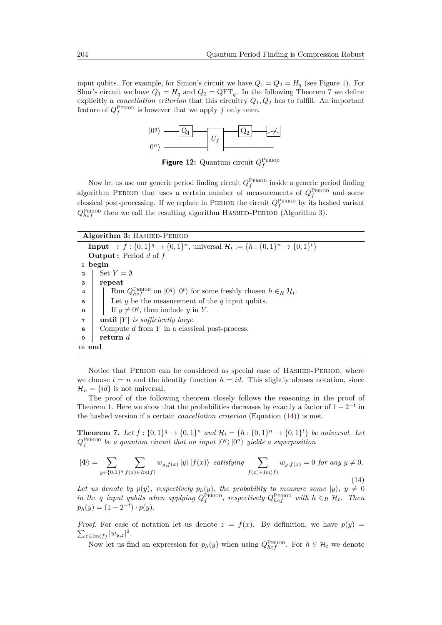<span id="page-21-0"></span>input qubits. For example, for Simon's circuit we have  $Q_1 = Q_2 = H_q$  (see Figure [1\)](#page-3-2). For Shor's circuit we have  $Q_1 = H_q$  and  $Q_2 = \text{QFT}_q$ . In the following Theorem [7](#page-21-1) we define explicitly a *cancellation criterion* that this circuitry *Q*1*, Q*<sup>2</sup> has to fulfill. An important feature of  $Q_f^{\text{PERIOD}}$  is however that we apply  $f$  only once.



**Figure 12:** Quantum circuit  $Q_f^{\text{PERIOD}}$ 

Now let us use our generic period finding circuit  $Q_f^{\text{PERIOD}}$  inside a generic period finding algorithm PERIOD that uses a certain number of measurements of  $Q_f^{\text{PERIOD}}$  and some classical post-processing. If we replace in PERIOD the circuit  $Q_f^{\text{PERIOD}}$  by its hashed variant  $Q_{h\circ f}^{\text{PERIOD}}$  then we call the resulting algorithm HASHED-PERIOD (Algorithm [3\)](#page-21-2).

**Algorithm 3: HASHED-PERIOD** 

**Input** :  $f : \{0,1\}^q \to \{0,1\}^n$ , universal  $\mathcal{H}_t := \{h : \{0,1\}^n \to \{0,1\}^t\}$ **Output :** Period *d* of *f* **<sup>1</sup> begin 2** | Set  $Y = \emptyset$ . **<sup>3</sup> repeat 4**  $\left| \int_{h}^{h} \text{Run } Q_{h}^{\text{PERIOD}} \text{ on } |0^q \rangle |0^t \rangle \text{ for some freshly chosen } h \in_R \mathcal{H}_t.$ **5** Let *y* be the measurement of the *q* input qubits. **6** | If  $y \neq 0^q$ , then include *y* in *Y*. **7**  $\vert$  **until**  $|Y|$  *is sufficiently large.* **8** Compute *d* from *Y* in a classical post-process. **<sup>9</sup> return** *d* **<sup>10</sup> end**

<span id="page-21-2"></span>Notice that PERIOD can be considered as special case of HASHED-PERIOD, where we choose  $t = n$  and the identity function  $h = id$ . This slightly abuses notation, since  $\mathcal{H}_n = \{id\}$  is not universal.

The proof of the following theorem closely follows the reasoning in the proof of Theorem [1.](#page-6-1) Here we show that the probabilities decreases by exactly a factor of  $1 - 2^{-t}$  in the hashed version if a certain *cancellation criterion* (Equation [\(14\)](#page-21-3)) is met.

<span id="page-21-1"></span>**Theorem 7.** Let  $f : \{0,1\}^q \to \{0,1\}^n$  and  $\mathcal{H}_t = \{h : \{0,1\}^n \to \{0,1\}^t\}$  be universal. Let  $Q_f^{\text{PERIOD}}$  be a quantum circuit that on input  $|0^q\rangle |0^n\rangle$  yields a superposition

<span id="page-21-3"></span>
$$
|\Phi\rangle = \sum_{y \in \{0,1\}^q} \sum_{f(x) \in Im(f)} w_{y,f(x)} |y\rangle |f(x)\rangle \quad \text{satisfying} \quad \sum_{f(x) \in Im(f)} w_{y,f(x)} = 0 \text{ for any } y \neq 0.
$$
\n(14)

Let us denote by  $p(y)$ , respectively  $p_h(y)$ , the probability to measure some  $|y\rangle$ ,  $y \neq 0$ *in the q input qubits when applying*  $Q_f^{\text{PERIOD}}$ , *respectively*  $Q_{hof}^{\text{PERIOD}}$  *with*  $h \in_R H_t$ . Then  $p_h(y) = (1 - 2^{-t}) \cdot p(y).$ 

*Proof.* For ease of notation let us denote  $z = f(x)$ . By definition, we have  $p(y) =$  $\sum_{z \in \text{Im}(f)} |w_{y,z}|^2$ .

Now let us find an expression for  $p_h(y)$  when using  $Q_{hof}^{\text{PERIOD}}$ . For  $h \in \mathcal{H}_t$  we denote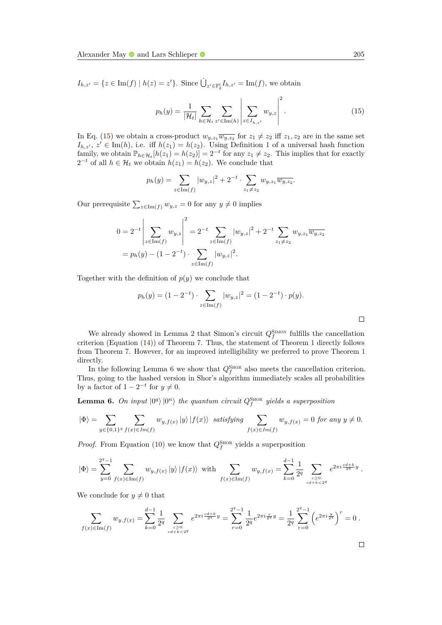$I_{h,z'} = \{z \in \text{Im}(f) \mid h(z) = z'\}.$  Since  $\dot{\bigcup}_{z' \in \mathbb{F}_2^t} I_{h,z'} = \text{Im}(f)$ , we obtain

<span id="page-22-0"></span>
$$
p_h(y) = \frac{1}{|\mathcal{H}_t|} \sum_{h \in \mathcal{H}_t} \sum_{z' \in \text{Im}(h)} \left| \sum_{z \in I_{h,z'}} w_{y,z} \right|^2.
$$
 (15)

In Eq. [\(15\)](#page-22-0) we obtain a cross-product  $w_{y,z_1} \overline{w_{y,z_2}}$  for  $z_1 \neq z_2$  iff  $z_1, z_2$  are in the same set  $I_{h,z'}$ ,  $z' \in \text{Im}(h)$ , i.e. iff  $h(z_1) = h(z_2)$  $h(z_1) = h(z_2)$  $h(z_1) = h(z_2)$ . Using Definition 1 of a universal hash function family, we obtain  $\mathbb{P}_{h \in \mathcal{H}_t}[h(z_1) = h(z_2)] = 2^{-t}$  for any  $z_1 \neq z_2$ . This implies that for exactly  $2^{-t}$  of all *h* ∈  $\mathcal{H}_t$  we obtain *h*(*z*<sub>1</sub>) = *h*(*z*<sub>2</sub>). We conclude that

$$
p_h(y) = \sum_{z \in \text{Im}(f)} |w_{y,z}|^2 + 2^{-t} \cdot \sum_{z_1 \neq z_2} w_{y,z_1} \overline{w_{y,z_2}}.
$$

Our prerequisite  $\sum_{z \in \text{Im}(f)} w_{y,z} = 0$  for any  $y \neq 0$  implies

$$
0 = 2^{-t} \left| \sum_{z \in \text{Im}(f)} w_{y,z} \right|^2 = 2^{-t} \sum_{z \in \text{Im}(f)} |w_{y,z}|^2 + 2^{-t} \sum_{z_1 \neq z_2} w_{y,z_1} \overline{w_{y,z_2}}
$$
  
=  $p_h(y) - (1 - 2^{-t}) \cdot \sum_{z \in \text{Im}(f)} |w_{y,z}|^2$ .

Together with the definition of  $p(y)$  we conclude that

$$
p_h(y) = (1 - 2^{-t}) \cdot \sum_{z \in \text{Im}(f)} |w_{y,z}|^2 = (1 - 2^{-t}) \cdot p(y).
$$

We already showed in Lemma [2](#page-5-2) that Simon's circuit  $Q_f^{\text{SIMON}}$  fulfills the cancellation criterion (Equation [\(14\)](#page-21-3)) of Theorem [7.](#page-21-1) Thus, the statement of Theorem [1](#page-6-1) directly follows from Theorem [7.](#page-21-1) However, for an improved intelligibility we preferred to prove Theorem [1](#page-6-1) directly.

In the following Lemma [6](#page-22-1) we show that  $Q_f^{\text{ShOR}}$  also meets the cancellation criterion. Thus, going to the hashed version in Shor's algorithm immediately scales all probabilities by a factor of  $1 - 2^{-t}$  for  $y \neq 0$ .

<span id="page-22-1"></span>**Lemma 6.** On input  $|0^q\rangle|0^n\rangle$  the quantum circuit  $Q_f^{\text{ShOR}}$  yields a superposition

$$
|\Phi\rangle=\sum_{y\in\{0,1\}^q}\sum_{f(x)\in Im(f)}w_{y,f(x)}\,|y\rangle\,|f(x)\rangle\ \, satisfying \ \, \sum_{f(x)\in Im(f)}w_{y,f(x)}=0 \,\,for\,\,any\,\,y\neq0.
$$

*Proof.* From Equation [\(10\)](#page-17-1) we know that  $Q_f^{\text{Stor}}$  yields a superposition

$$
\left|\Phi\right\rangle = \sum_{y=0}^{2^q-1} \sum_{f(x)\in \text{Im}(f)} w_{y,f(x)} \left|y\right\rangle \left|f(x)\right\rangle \text{ with } \sum_{f(x)\in \text{Im}(f)} w_{y,f(x)} = \sum_{k=0}^{d-1} \frac{1}{2^q} \sum_{\substack{c\geq 0:\\cd^k\in\mathcal{A}^k}} e^{2\pi i \frac{cd+k}{2^q} y}.
$$

We conclude for  $y \neq 0$  that

$$
\sum_{f(x)\in \text{Im}(f)} w_{y,f(x)} = \sum_{k=0}^{d-1} \frac{1}{2^q} \sum_{\substack{c\geq 0:\\ cd+k<2^q}} e^{2\pi i \frac{cd+k}{2^q} y} = \sum_{r=0}^{2^q-1} \frac{1}{2^q} e^{2\pi i \frac{r}{2^q} y} = \frac{1}{2^q} \sum_{r=0}^{2^q-1} \left( e^{2\pi i \frac{y}{2^q}} \right)^r = 0.
$$

 $\Box$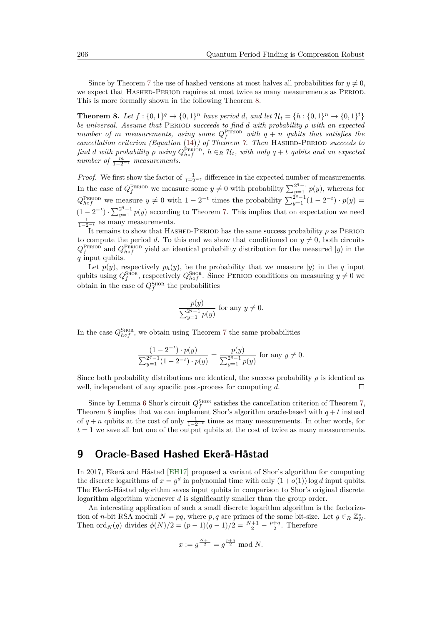Since by Theorem [7](#page-21-1) the use of hashed versions at most halves all probabilities for  $y \neq 0$ , we expect that Hashed-Period requires at most twice as many measurements as Period. This is more formally shown in the following Theorem [8.](#page-23-1)

<span id="page-23-1"></span>**Theorem 8.** Let  $f : \{0,1\}^q \to \{0,1\}^n$  have period *d*, and let  $\mathcal{H}_t = \{h : \{0,1\}^n \to \{0,1\}^t\}$ *be universal. Assume that* Period *succeeds to find d with probability ρ with an expected number of m measurements, using some*  $Q_f^{\text{PERIOD}}$  with  $q + n$  *qubits that satisfies the cancellation criterion (Equation* [\(14\)](#page-21-3)*) of Theorem [7.](#page-21-1) Then* Hashed-Period *succeeds to find d* with probability  $\rho$  *using*  $Q_{hof}^{\text{PERIOD}}$ ,  $h \in_R \mathcal{H}_t$ , with only  $q + t$  qubits and an expected *number of*  $\frac{m}{1-2^{-t}}$  *measurements.* 

*Proof.* We first show the factor of  $\frac{1}{1-2^{-t}}$  difference in the expected number of measurements. In the case of  $Q_f^{\text{PERIOD}}$  we measure some  $y \neq 0$  with probability  $\sum_{y=1}^{2^q-1} p(y)$ , whereas for  $Q_{hof}^{\text{PERIOD}}$  we measure  $y \neq 0$  with  $1 - 2^{-t}$  times the probability  $\sum_{y=1}^{2^q-1} (1 - 2^{-t}) \cdot p(y) =$  $(1-2^{-t}) \cdot \sum_{y=1}^{2^q-1} p(y)$  according to Theorem [7.](#page-21-1) This implies that on expectation we need  $\frac{1}{1-2^{-t}}$  as many measurements.

It remains to show that Hashed-Period has the same success probability *ρ* as Period to compute the period *d*. To this end we show that conditioned on  $y \neq 0$ , both circuits  $Q_f^{\text{PERIOD}}$  and  $Q_{hof}^{\text{PERIOD}}$  yield an identical probability distribution for the measured  $|y\rangle$  in the *q* input qubits.

Let  $p(y)$ , respectively  $p_h(y)$ , be the probability that we measure  $|y\rangle$  in the *q* input qubits using  $Q_f^{\text{SHOR}}$ , respectively  $Q_{hof}^{\text{SHOR}}$ . Since PERIOD conditions on measuring  $y \neq 0$  we obtain in the case of  $Q_f^{\text{SHOR}}$  the probabilities

$$
\frac{p(y)}{\sum_{y=1}^{2^q-1} p(y)} \text{ for any } y \neq 0.
$$

In the case  $Q_{h\circ f}^{\text{SHOR}}$ , we obtain using Theorem [7](#page-21-1) the same probabilities

$$
\frac{(1-2^{-t}) \cdot p(y)}{\sum_{y=1}^{2^q-1} (1-2^{-t}) \cdot p(y)} = \frac{p(y)}{\sum_{y=1}^{2^q-1} p(y)} \text{ for any } y \neq 0.
$$

Since both probability distributions are identical, the success probability  $\rho$  is identical as well, independent of any specific post-process for computing *d*.  $\Box$ 

Since by Lemma [6](#page-22-1) Shor's circuit  $Q_f^{\text{SHOR}}$  satisfies the cancellation criterion of Theorem [7,](#page-21-1) Theorem [8](#page-23-1) implies that we can implement Shor's algorithm oracle-based with  $q + t$  instead of  $q + n$  qubits at the cost of only  $\frac{1}{1-2^{-t}}$  times as many measurements. In other words, for  $t = 1$  we save all but one of the output qubits at the cost of twice as many measurements.

# <span id="page-23-0"></span>**9 Oracle-Based Hashed Ekerå-Håstad**

In 2017, Ekerå and Håstad [\[EH17\]](#page-26-2) proposed a variant of Shor's algorithm for computing the discrete logarithms of  $x = g^d$  in polynomial time with only  $(1+o(1)) \log d$  input qubits. The Ekerå-Håstad algorithm saves input qubits in comparison to Shor's original discrete logarithm algorithm whenever *d* is significantly smaller than the group order.

An interesting application of such a small discrete logarithm algorithm is the factorization of *n*-bit RSA moduli  $N = pq$ , where *p*, *q* are primes of the same bit-size. Let  $g \in_R \mathbb{Z}_N^*$ . Then  $\text{ord}_N(g)$  divides  $\phi(N)/2 = (p-1)(q-1)/2 = \frac{N+1}{2} - \frac{p+q}{2}$ . Therefore

$$
x := g^{\frac{N+1}{2}} = g^{\frac{p+q}{2}} \mod N.
$$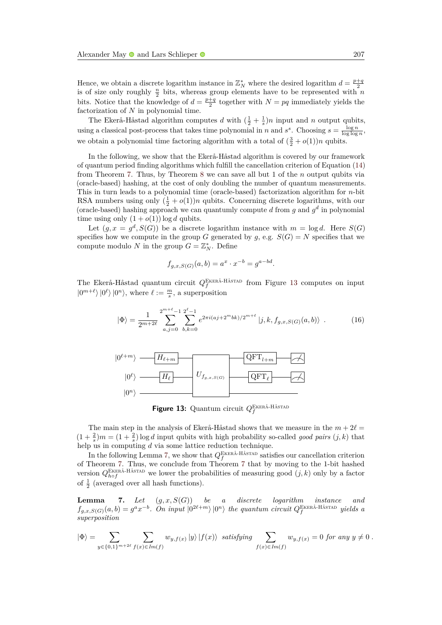Hence, we obtain a discrete logarithm instance in  $\mathbb{Z}_N^*$  where the desired logarithm  $d = \frac{p+q}{2}$ is of size only roughly  $\frac{n}{2}$  bits, whereas group elements have to be represented with *n* bits. Notice that the knowledge of  $d = \frac{p+q}{2}$  together with  $N = pq$  immediately yields the factorization of *N* in polynomial time.

The Ekerå-Håstad algorithm computes *d* with  $(\frac{1}{2} + \frac{1}{s})n$  input and *n* output qubits, using a classical post-process that takes time polynomial in *n* and  $s^s$ . Choosing  $s = \frac{\log n}{\log \log n}$ , we obtain a polynomial time factoring algorithm with a total of  $(\frac{3}{2} + o(1))n$  qubits.

In the following, we show that the Ekerå-Håstad algorithm is covered by our framework of quantum period finding algorithms which fulfill the cancellation criterion of Equation [\(14\)](#page-21-3) from Theorem [7.](#page-21-1) Thus, by Theorem [8](#page-23-1) we can save all but 1 of the *n* output qubits via (oracle-based) hashing, at the cost of only doubling the number of quantum measurements. This in turn leads to a polynomial time (oracle-based) factorization algorithm for *n*-bit RSA numbers using only  $(\frac{1}{2} + o(1))n$  qubits. Concerning discrete logarithms, with our (oracle-based) hashing approach we can quantumly compute  $d$  from  $g$  and  $g^d$  in polynomial time using only  $(1 + o(1)) \log d$  qubits.

Let  $(g, x = g^d, S(G))$  be a discrete logarithm instance with  $m = \log d$ . Here  $S(G)$ specifies how we compute in the group *G* generated by *g*, e.g.  $S(G) = N$  specifies that we compute modulo *N* in the group  $G = \mathbb{Z}_N^*$ . Define

$$
f_{g,x,S(G)}(a,b) = a^x \cdot x^{-b} = g^{a-bd}.
$$

The Ekerå-Håstad quantum circuit  $Q_f^{\text{EKERÅ-HÅSTAD}}$  from Figure [13](#page-24-0) computes on input  $|0^{m+\ell}\rangle |0^{\ell}\rangle |0^n\rangle$ , where  $\ell := \frac{m}{s}$ , a superposition

<span id="page-24-2"></span>
$$
|\Phi\rangle = \frac{1}{2^{m+2\ell}} \sum_{a,j=0}^{2^{m+\ell}-1} \sum_{b,k=0}^{2^{\ell}-1} e^{2\pi i (aj+2^m b k)/2^{m+\ell}} |j,k,f_{g,x,S(G)}(a,b)\rangle . \tag{16}
$$

<span id="page-24-0"></span>

Figure 13: Quantum circuit  $Q_f^{\text{EKERÅ-HÅSTAD}}$ 

The main step in the analysis of Ekerå-Håstad shows that we measure in the  $m + 2\ell =$  $(1 + \frac{2}{s})m = (1 + \frac{2}{s})\log d$  input qubits with high probability so-called *good pairs*  $(j, k)$  that help us in computing *d* via some lattice reduction technique.

In the following Lemma [7,](#page-24-1) we show that  $Q_f^{\text{EKERÅ-HÅSTAD}}$  satisfies our cancellation criterion of Theorem [7.](#page-21-1) Thus, we conclude from Theorem [7](#page-21-1) that by moving to the 1-bit hashed version  $Q_{hof}^{\text{EKERÅ-HÅSTAD}}$  we lower the probabilities of measuring good  $(j, k)$  only by a factor of  $\frac{1}{2}$  (averaged over all hash functions).

<span id="page-24-1"></span>**Lemma 7.** *Let* (*g, x, S*(*G*)) *be a discrete logarithm instance and*  $f_{g,x,S(G)}(a,b) = g^a x^{-b}$ . On input  $\ket{0^{2\ell+m}}\ket{0^n}$  the quantum circuit  $Q_f^{\text{EKERÅ-HÅSTAD}}$  yields a *superposition*

$$
|\Phi\rangle = \sum_{y \in \{0,1\}^{m+2\ell}} \sum_{f(x) \in Im(f)} w_{y,f(x)} |y\rangle |f(x)\rangle \quad satisfying \sum_{f(x) \in Im(f)} w_{y,f(x)} = 0 \text{ for any } y \neq 0.
$$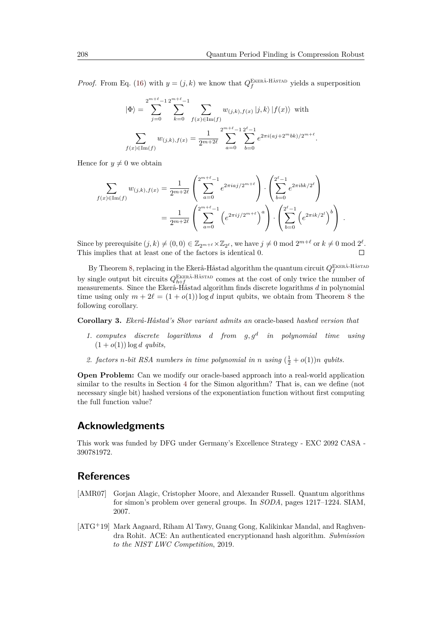*.*

*Proof.* From Eq. [\(16\)](#page-24-2) with  $y = (j, k)$  we know that  $Q_f^{\text{EKERÅ-HÅSTAD}}$  yields a superposition

$$
|\Phi\rangle = \sum_{j=0}^{2^{m+\ell}-1} \sum_{k=0}^{2^{m+\ell}-1} \sum_{f(x)\in\text{Im}(f)} w_{(j,k),f(x)} |j,k\rangle |f(x)\rangle \text{ with}
$$

$$
\sum_{f(x)\in\text{Im}(f)} w_{(j,k),f(x)} = \frac{1}{2^{m+2\ell}} \sum_{a=0}^{2^{m+\ell}-1} \sum_{b=0}^{2^{\ell}-1} e^{2\pi i (aj+2^m b k)/2^{m+\ell}}
$$

Hence for  $y \neq 0$  we obtain

$$
\sum_{f(x)\in\text{Im}(f)} w_{(j,k),f(x)} = \frac{1}{2^{m+2\ell}} \left( \sum_{a=0}^{2^{m+\ell}-1} e^{2\pi i a j/2^{m+\ell}} \right) \cdot \left( \sum_{b=0}^{2^{\ell}-1} e^{2\pi i b k/2^{\ell}} \right)
$$

$$
= \frac{1}{2^{m+2\ell}} \left( \sum_{a=0}^{2^{m+\ell}-1} \left( e^{2\pi i j/2^{m+\ell}} \right)^a \right) \cdot \left( \sum_{b=0}^{2^{\ell}-1} \left( e^{2\pi i k/2^{\ell}} \right)^b \right) .
$$

Since by prerequisite  $(j, k) \neq (0, 0) \in \mathbb{Z}_{2^{m+\ell}} \times \mathbb{Z}_{2^{\ell}}$ , we have  $j \neq 0 \mod 2^{m+\ell}$  or  $k \neq 0 \mod 2^{\ell}$ . This implies that at least one of the factors is identical 0.  $\Box$ 

By Theorem [8,](#page-23-1) replacing in the Ekerå-Håstad algorithm the quantum circuit  $Q_f^{\text{EKERÅ-HÅSTAD}}$ by single output bit circuits  $Q_{h \circ f}^{\text{EKERÅ-HÅSTAD}}$  comes at the cost of only twice the number of measurements. Since the Ekerå-Håstad algorithm finds discrete logarithms *d* in polynomial time using only  $m + 2\ell = (1 + o(1))\log d$  input qubits, we obtain from Theorem [8](#page-23-1) the following corollary.

**Corollary 3.** *Ekerå-Håstad's Shor variant admits an* oracle-based *hashed version that*

- *1. computes discrete logarithms d from g, g<sup>d</sup> in polynomial time using*  $(1 + o(1)) \log d$  *qubits,*
- 2. *factors n*-bit RSA numbers in time polynomial in *n* using  $(\frac{1}{2} + o(1))n$  *qubits.*

**Open Problem:** Can we modify our oracle-based approach into a real-world application similar to the results in Section [4](#page-8-0) for the Simon algorithm? That is, can we define (not necessary single bit) hashed versions of the exponentiation function without first computing the full function value?

### **Acknowledgments**

This work was funded by DFG under Germany's Excellence Strategy - EXC 2092 CASA - 390781972.

# **References**

- <span id="page-25-0"></span>[AMR07] Gorjan Alagic, Cristopher Moore, and Alexander Russell. Quantum algorithms for simon's problem over general groups. In *SODA*, pages 1217–1224. SIAM, 2007.
- <span id="page-25-1"></span>[ATG<sup>+</sup>19] Mark Aagaard, Riham Al Tawy, Guang Gong, Kalikinkar Mandal, and Raghvendra Rohit. ACE: An authenticated encryptionand hash algorithm. *Submission to the NIST LWC Competition*, 2019.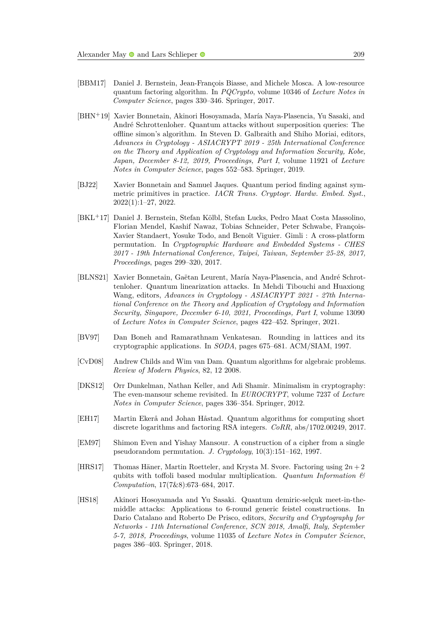- <span id="page-26-1"></span>[BBM17] Daniel J. Bernstein, Jean-François Biasse, and Michele Mosca. A low-resource quantum factoring algorithm. In *PQCrypto*, volume 10346 of *Lecture Notes in Computer Science*, pages 330–346. Springer, 2017.
- <span id="page-26-4"></span>[BHN<sup>+</sup>19] Xavier Bonnetain, Akinori Hosoyamada, María Naya-Plasencia, Yu Sasaki, and André Schrottenloher. Quantum attacks without superposition queries: The offline simon's algorithm. In Steven D. Galbraith and Shiho Moriai, editors, *Advances in Cryptology - ASIACRYPT 2019 - 25th International Conference on the Theory and Application of Cryptology and Information Security, Kobe, Japan, December 8-12, 2019, Proceedings, Part I*, volume 11921 of *Lecture Notes in Computer Science*, pages 552–583. Springer, 2019.
- <span id="page-26-10"></span>[BJ22] Xavier Bonnetain and Samuel Jaques. Quantum period finding against symmetric primitives in practice. *IACR Trans. Cryptogr. Hardw. Embed. Syst.*, 2022(1):1–27, 2022.
- <span id="page-26-9"></span>[BKL<sup>+</sup>17] Daniel J. Bernstein, Stefan Kölbl, Stefan Lucks, Pedro Maat Costa Massolino, Florian Mendel, Kashif Nawaz, Tobias Schneider, Peter Schwabe, François-Xavier Standaert, Yosuke Todo, and Benoît Viguier. Gimli : A cross-platform permutation. In *Cryptographic Hardware and Embedded Systems - CHES 2017 - 19th International Conference, Taipei, Taiwan, September 25-28, 2017, Proceedings*, pages 299–320, 2017.
- <span id="page-26-5"></span>[BLNS21] Xavier Bonnetain, Gaëtan Leurent, María Naya-Plasencia, and André Schrottenloher. Quantum linearization attacks. In Mehdi Tibouchi and Huaxiong Wang, editors, *Advances in Cryptology - ASIACRYPT 2021 - 27th International Conference on the Theory and Application of Cryptology and Information Security, Singapore, December 6-10, 2021, Proceedings, Part I*, volume 13090 of *Lecture Notes in Computer Science*, pages 422–452. Springer, 2021.
- <span id="page-26-3"></span>[BV97] Dan Boneh and Ramarathnam Venkatesan. Rounding in lattices and its cryptographic applications. In *SODA*, pages 675–681. ACM/SIAM, 1997.
- <span id="page-26-6"></span>[CvD08] Andrew Childs and Wim van Dam. Quantum algorithms for algebraic problems. *Review of Modern Physics*, 82, 12 2008.
- <span id="page-26-8"></span>[DKS12] Orr Dunkelman, Nathan Keller, and Adi Shamir. Minimalism in cryptography: The even-mansour scheme revisited. In *EUROCRYPT*, volume 7237 of *Lecture Notes in Computer Science*, pages 336–354. Springer, 2012.
- <span id="page-26-2"></span>[EH17] Martin Ekerå and Johan Håstad. Quantum algorithms for computing short discrete logarithms and factoring RSA integers. *CoRR*, abs/1702.00249, 2017.
- <span id="page-26-7"></span>[EM97] Shimon Even and Yishay Mansour. A construction of a cipher from a single pseudorandom permutation. *J. Cryptology*, 10(3):151–162, 1997.
- <span id="page-26-0"></span>[HRS17] Thomas Häner, Martin Roetteler, and Krysta M. Svore. Factoring using 2*n* + 2 qubits with toffoli based modular multiplication. *Quantum Information & Computation*, 17(7&8):673–684, 2017.
- <span id="page-26-11"></span>[HS18] Akinori Hosoyamada and Yu Sasaki. Quantum demiric-selçuk meet-in-themiddle attacks: Applications to 6-round generic feistel constructions. In Dario Catalano and Roberto De Prisco, editors, *Security and Cryptography for Networks - 11th International Conference, SCN 2018, Amalfi, Italy, September 5-7, 2018, Proceedings*, volume 11035 of *Lecture Notes in Computer Science*, pages 386–403. Springer, 2018.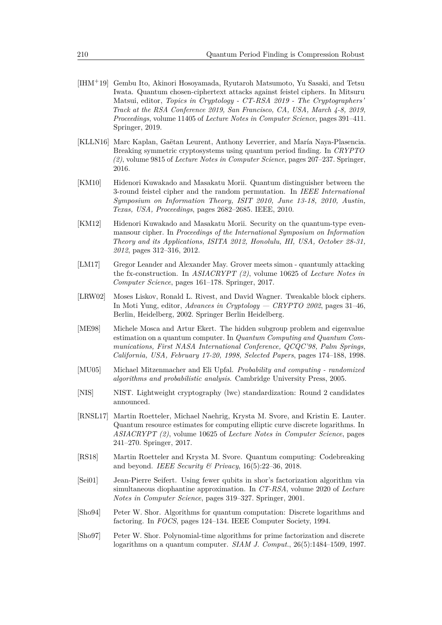- <span id="page-27-11"></span>[IHM<sup>+</sup>19] Gembu Ito, Akinori Hosoyamada, Ryutaroh Matsumoto, Yu Sasaki, and Tetsu Iwata. Quantum chosen-ciphertext attacks against feistel ciphers. In Mitsuru Matsui, editor, *Topics in Cryptology - CT-RSA 2019 - The Cryptographers' Track at the RSA Conference 2019, San Francisco, CA, USA, March 4-8, 2019, Proceedings*, volume 11405 of *Lecture Notes in Computer Science*, pages 391–411. Springer, 2019.
- <span id="page-27-1"></span>[KLLN16] Marc Kaplan, Gaëtan Leurent, Anthony Leverrier, and María Naya-Plasencia. Breaking symmetric cryptosystems using quantum period finding. In *CRYPTO (2)*, volume 9815 of *Lecture Notes in Computer Science*, pages 207–237. Springer, 2016.
- <span id="page-27-12"></span>[KM10] Hidenori Kuwakado and Masakatu Morii. Quantum distinguisher between the 3-round feistel cipher and the random permutation. In *IEEE International Symposium on Information Theory, ISIT 2010, June 13-18, 2010, Austin, Texas, USA, Proceedings*, pages 2682–2685. IEEE, 2010.
- <span id="page-27-0"></span>[KM12] Hidenori Kuwakado and Masakatu Morii. Security on the quantum-type evenmansour cipher. In *Proceedings of the International Symposium on Information Theory and its Applications, ISITA 2012, Honolulu, HI, USA, October 28-31, 2012*, pages 312–316, 2012.
- <span id="page-27-2"></span>[LM17] Gregor Leander and Alexander May. Grover meets simon - quantumly attacking the fx-construction. In *ASIACRYPT (2)*, volume 10625 of *Lecture Notes in Computer Science*, pages 161–178. Springer, 2017.
- <span id="page-27-10"></span>[LRW02] Moses Liskov, Ronald L. Rivest, and David Wagner. Tweakable block ciphers. In Moti Yung, editor, *Advances in Cryptology — CRYPTO 2002*, pages 31–46, Berlin, Heidelberg, 2002. Springer Berlin Heidelberg.
- <span id="page-27-7"></span>[ME98] Michele Mosca and Artur Ekert. The hidden subgroup problem and eigenvalue estimation on a quantum computer. In *Quantum Computing and Quantum Communications, First NASA International Conference, QCQC'98, Palm Springs, California, USA, February 17-20, 1998, Selected Papers*, pages 174–188, 1998.
- <span id="page-27-8"></span>[MU05] Michael Mitzenmacher and Eli Upfal. *Probability and computing - randomized algorithms and probabilistic analysis*. Cambridge University Press, 2005.
- <span id="page-27-9"></span>[NIS] NIST. Lightweight cryptography (lwc) standardization: Round 2 candidates announced.
- <span id="page-27-3"></span>[RNSL17] Martin Roetteler, Michael Naehrig, Krysta M. Svore, and Kristin E. Lauter. Quantum resource estimates for computing elliptic curve discrete logarithms. In *ASIACRYPT (2)*, volume 10625 of *Lecture Notes in Computer Science*, pages 241–270. Springer, 2017.
- <span id="page-27-4"></span>[RS18] Martin Roetteler and Krysta M. Svore. Quantum computing: Codebreaking and beyond. *IEEE Security & Privacy*, 16(5):22–36, 2018.
- <span id="page-27-6"></span>[Sei01] Jean-Pierre Seifert. Using fewer qubits in shor's factorization algorithm via simultaneous diophantine approximation. In *CT-RSA*, volume 2020 of *Lecture Notes in Computer Science*, pages 319–327. Springer, 2001.
- <span id="page-27-5"></span>[Sho94] Peter W. Shor. Algorithms for quantum computation: Discrete logarithms and factoring. In *FOCS*, pages 124–134. IEEE Computer Society, 1994.
- <span id="page-27-13"></span>[Sho97] Peter W. Shor. Polynomial-time algorithms for prime factorization and discrete logarithms on a quantum computer. *SIAM J. Comput.*, 26(5):1484–1509, 1997.